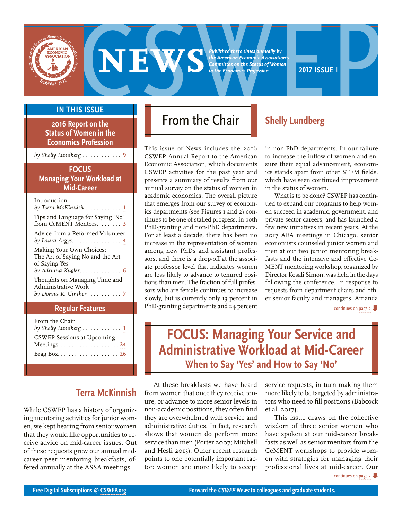<span id="page-0-0"></span>

**2017 ISSUE FROM THE CHOISE CONSULTER CONSULTER CONSULTER CONSULTER CONSULTER CONSULTER CONSULTER CONSULTER CONSULTER CONSULTER CONSULTER CONSULTER CONSULTER CONSULTER CONSULTER CONSULTER CONSULTER CONSULTER CONSULTER CONS** 

*Published three times annually by the American Economic Association's Committee on the Status of Women in the Economics Profession.*

#### **In This Issue**

**2016 Report on the Status of Women in the Economics Profession** 

*by Shelly Lundberg* . . . . . . . . . . . **[9](#page-8-0)**

#### **FOCUS Managing Your Workload at Mid-Career**

| Introduction<br>by Terra McKinnish 1                                                                                            |
|---------------------------------------------------------------------------------------------------------------------------------|
| Tips and Language for Saying 'No'<br>from CeMENT Mentors.   3                                                                   |
| Advice from a Reformed Volunteer<br>by Laura Argys. 4                                                                           |
| Making Your Own Choices:<br>The Art of Saying No and the Art<br>of Saying Yes<br>by Adriana Kugler. $\dots \dots \dots \dots$ 6 |
| Thoughts on Managing Time and<br>Administrative Work<br>by Donna K. Ginther $\ldots \ldots$ .                                   |
|                                                                                                                                 |

#### **Regular Features**

| From the Chair<br>by Shelly Lundberg $\dots \dots \dots \dots 1$ |
|------------------------------------------------------------------|
| <b>CSWEP</b> Sessions at Upcoming<br>Meetings 24                 |
| Brag Box. 26                                                     |

#### **Terra McKinnish**

While CSWEP has a history of organizing mentoring activities for junior women, we kept hearing from senior women that they would like opportunities to receive advice on mid-career issues. Out of these requests grew our annual midcareer peer mentoring breakfasts, offered annually at the ASSA meetings.

# **From the Chair Shelly Lundberg**

This issue of News includes the 2016 CSWEP Annual Report to the American Economic Association, which documents CSWEP activities for the past year and presents a summary of results from our annual survey on the status of women in academic economics. The overall picture that emerges from our survey of economics departments (see Figures 1 and 2) continues to be one of stalled progress, in both PhD-granting and non-PhD departments. For at least a decade, there has been no increase in the representation of women among new PhDs and assistant professors, and there is a drop-off at the associate professor level that indicates women are less likely to advance to tenured positions than men. The fraction of full professors who are female continues to increase slowly, but is currently only 13 percent in PhD-granting departments and 24 percent

in non-PhD departments. In our failure to increase the inflow of women and ensure their equal advancement, economics stands apart from other STEM fields, which have seen continued improvement in the status of women.

What is to be done? CSWEP has continued to expand our programs to help women succeed in academic, government, and private sector careers, and has launched a few new initiatives in recent years. At the 2017 AEA meetings in Chicago, senior economists counseled junior women and men at our two junior mentoring breakfasts and the intensive and effective Ce-MENT mentoring workshop, organized by Director Kosali Simon, was held in the days following the conference. In response to requests from department chairs and other senior faculty and managers, Amanda

[continues on page 2](#page-1-0)

**FOCUS: Managing Your Service and Administrative Workload at Mid-Career When to Say 'Yes' and How to Say 'No'**

At these breakfasts we have heard from women that once they receive tenure, or advance to more senior levels in non-academic positions, they often find they are overwhelmed with service and administrative duties. In fact, research shows that women do perform more service than men (Porter 2007; Mitchell and Hesli 2013). Other recent research points to one potentially important factor: women are more likely to accept

service requests, in turn making them more likely to be targeted by administrators who need to fill positions (Babcock et al. 2017).

This issue draws on the collective wisdom of three senior women who have spoken at our mid-career breakfasts as well as senior mentors from the CeMENT workshops to provide women with strategies for managing their professional lives at mid-career. Our [continues on page 2](#page-1-0)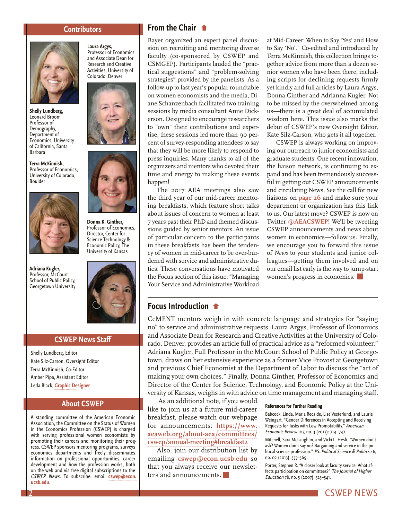#### **Contributors**

**Laura Argys,**  Professor of Economics and Associate Dean for Research and Creative Activities, University of Colorado, Denver

<span id="page-1-0"></span>

**Shelly Lundberg,**  Leonard Broom Professor of Demography, Department of Economics, University of California, Santa Barbara

**Terra McKinnish,**  Professor of Economics, University of Colorado, Boulder



**Adriana Kugler,**  Professor, McCourt School of Public Policy, Georgetown University



**Donna K. Ginther,**  Professor of Economics, Director, Center for Science Technology & Economic Policy, The University of Kansas

#### **CSWEP News Staff**

Shelly Lundberg, Editor Kate Silz-Carson, Oversight Editor Terra McKinnish, Co-Editor Amber Pipa, Assistant Editor Leda Black, **[Graphic Designer](http://www.ledablack.com/)**

#### **About CSWEP**

A standing committee of the American Economic Association, the Committee on the Status of Women in the Economics Profession (CSWEP) is charged with serving professional women economists by promoting their careers and monitoring their progress. CSWEP sponsors mentoring programs, surveys economics departments and freely disseminates information on professional opportunities, career development and how the profession works, both on the web and via free digital subscriptions to the CSWEP News. To subscribe, email **[cswep@econ.](mailto:cswep%40econ.ucsb.edu?subject=) [ucsb.edu](mailto:cswep%40econ.ucsb.edu?subject=)**.

#### **[From the Chair](#page-0-0)**

Bayer organized an expert panel discussion on recruiting and mentoring diverse faculty (co-sponsored by CSWEP and CSMGEP). Participants lauded the "practical suggestions" and "problem-solving strategies" provided by the panelists. As a follow-up to last year's popular roundtable on women economists and the media, Diane Schanzenbach facilitated two training sessions by media consultant Anne Dickerson. Designed to encourage researchers to "own" their contributions and expertise, these sessions led more than 90 percent of survey-responding attendees to say that they will be more likely to respond to press inquiries. Many thanks to all of the organizers and mentors who devoted their time and energy to making these events happen!

The 2017 AEA meetings also saw the third year of our mid-career mentoring breakfasts, which feature short talks about issues of concern to women at least 7 years past their PhD and themed discussions guided by senior mentors. An issue of particular concern to the participants in these breakfasts has been the tendency of women in mid-career to be over-burdened with service and administrative duties. These conversations have motivated the Focus section of this issue: "Managing Your Service and Administrative Workload at Mid-Career: When to Say 'Yes' and How to Say 'No'." Co-edited and introduced by Terra McKinnish, this collection brings together advice from more than a dozen senior women who have been there, including scripts for declining requests firmly yet kindly and full articles by Laura Argys, Donna Ginther and Adrianna Kugler. Not to be missed by the overwhelmed among us—there is a great deal of accumulated wisdom here. This issue also marks the debut of CSWEP's new Oversight Editor, Kate Silz-Carson, who gets it all together.

CSWEP is always working on improving our outreach to junior economists and graduate students. One recent innovation, the liaison network, is continuing to expand and has been tremendously successful in getting out CSWEP announcements and circulating News. See the call for new liaisons on **[page 26](#page-25-0)** and make sure your department or organization has this link to us. Our latest move? CSWEP is now on Twitter **[@AEACSWEP](https://twitter.com/AEACSWEP?lang=en)**! We'll be tweeting CSWEP announcements and news about women in economics—follow us. Finally, we encourage you to forward this issue of *News* to your students and junior colleagues—getting them involved and on our email list early is the way to jump-start women's progress in economics.

**[Focus Introduction](#page-0-0)**

CeMENT mentors weigh in with concrete language and strategies for "saying no" to service and administrative requests. Laura Argys, Professor of Economics and Associate Dean for Research and Creative Activities at the University of Colorado, Denver, provides an article full of practical advice as a "reformed volunteer." Adriana Kugler, Full Professor in the McCourt School of Public Policy at Georgetown, draws on her extensive experience as a former Vice Provost at Georgetown and previous Chief Economist at the Department of Labor to discuss the "art of making your own choices." Finally, Donna Ginther, Professor of Economics and Director of the Center for Science, Technology, and Economic Policy at the University of Kansas, weighs in with advice on time management and managing staff.

 As an additional note, if you would like to join us at a future mid-career breakfast, please watch our webpage for announcements: **[https://www.](https://www.aeaweb.org/about-aea/committees/cswep/annual-meeting#breakfast2) [aeaweb.org/about-aea/committees/](https://www.aeaweb.org/about-aea/committees/cswep/annual-meeting#breakfast2) [cswep/annual-meeting#breakfast2](https://www.aeaweb.org/about-aea/committees/cswep/annual-meeting#breakfast2)**

Also, join our distribution list by emailing **[cswep@econ.ucsb.edu](mailto:cswep%40econ.ucsb.edu?subject=)** so that you always receive our newsletters and announcements.

**References for Further Reading**

Babcock, Linda, Maria Recalde, Lise Vesterlund, and Laurie Weingart. "Gender Differences in Accepting and Receiving Requests for Tasks with Low Promotability." American Economic Review 107, no. 3 (2017): 714–747.

Mitchell, Sara McLaughlin, and Vicki L. Hesli. "Women don't ask? Women don't say no? Bargaining and service in the political science profession." PS: Political Science & Politics 46, no. 02 (2013): 355–369.

Porter, Stephen R. "A closer look at faculty service: What affects participation on committees?" The Journal of Higher Education 78, no. 5 (2007): 523–541.

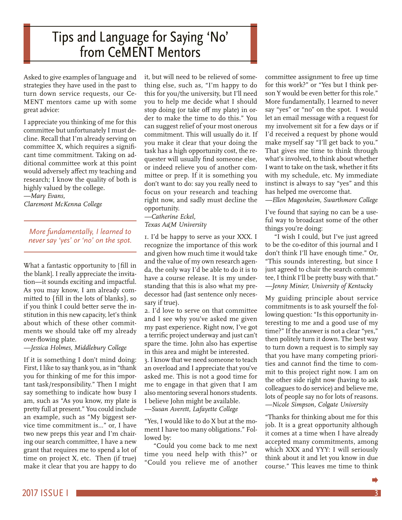# <span id="page-2-0"></span>Tips and Language for Saying 'No' from CeMENT Mentors

Asked to give examples of language and strategies they have used in the past to turn down service requests, our Ce-MENT mentors came up with some great advice:

I appreciate you thinking of me for this committee but unfortunately I must decline. Recall that I'm already serving on committee X, which requires a significant time commitment. Taking on additional committee work at this point would adversely affect my teaching and research; I know the quality of both is highly valued by the college.

*—Mary Evans,* 

*Claremont McKenna College*

*More fundamentally, I learned to never say 'yes' or 'no' on the spot.* 

What a fantastic opportunity to [ fill in the blank]. I really appreciate the invitation—it sounds exciting and impactful. As you may know, I am already committed to {fill in the lots of blanks}, so if you think I could better serve the institution in this new capacity, let's think about which of these other commitments we should take off my already over-flowing plate.

*—Jessica Holmes, Middlebury College*

If it is something I don't mind doing: First, I like to say thank you, as in "thank you for thinking of me for this important task/responsibility." Then I might say something to indicate how busy I am, such as "As you know, my plate is pretty full at present." You could include an example, such as "My biggest service time commitment is…" or, I have two new preps this year and I'm chairing our search committee, I have a new grant that requires me to spend a lot of time on project X, etc. Then (if true) make it clear that you are happy to do

it, but will need to be relieved of something else, such as, "I'm happy to do this for you/the university, but I'll need you to help me decide what I should stop doing (or take off my plate) in order to make the time to do this." You can suggest relief of your most onerous commitment. This will usually do it. If you make it clear that your doing the task has a high opportunity cost, the requester will usually find someone else, or indeed relieve you of another committee or prep. If it is something you don't want to do: say you really need to focus on your research and teaching right now, and sadly must decline the opportunity.

*—Catherine Eckel,* 

*Texas A&M University*

1. I'd be happy to serve as your XXX. I recognize the importance of this work and given how much time it would take and the value of my own research agenda, the only way I'd be able to do it is to have a course release. It is my understanding that this is also what my predecessor had (last sentence only necessary if true).

2. I'd love to serve on that committee and I see why you've asked me given my past experience. Right now, I've got a terrific project underway and just can't spare the time. John also has expertise in this area and might be interested.

3. I know that we need someone to teach an overload and I appreciate that you've asked me. This is not a good time for me to engage in that given that I am also mentoring several honors students. I believe John might be available. *—Susan Averett, Lafayette College*

"Yes, I would like to do X but at the moment I have too many obligations." Followed by:

"Could you come back to me next time you need help with this?" or "Could you relieve me of another committee assignment to free up time for this work?" or "Yes but I think person Y would be even better for this role." More fundamentally, I learned to never say "yes" or "no" on the spot. I would let an email message with a request for my involvement sit for a few days or if I'd received a request by phone would make myself say "I'll get back to you." That gives me time to think through what's involved, to think about whether I want to take on the task, whether it fits with my schedule, etc. My immediate instinct is always to say "yes" and this has helped me overcome that.

*—Ellen Magenheim, Swarthmore College*

I've found that saying no can be a useful way to broadcast some of the other things you're doing:

"I wish I could, but I've just agreed to be the co-editor of this journal and I don't think I'll have enough time." Or, "This sounds interesting, but since I just agreed to chair the search committee, I think I'll be pretty busy with that." *—Jenny Minier, University of Kentucky*

My guiding principle about service commitments is to ask yourself the following question: "Is this opportunity interesting to me and a good use of my time?" If the answer is not a clear "yes," then politely turn it down. The best way to turn down a request is to simply say that you have many competing priorities and cannot find the time to commit to this project right now. I am on the other side right now (having to ask colleagues to do service) and believe me, lots of people say no for lots of reasons. *—Nicole Simpson, Colgate University*

"Thanks for thinking about me for this job. It is a great opportunity although it comes at a time when I have already accepted many commitments, among which XXX and YYY: I will seriously think about it and let you know in due course." This leaves me time to think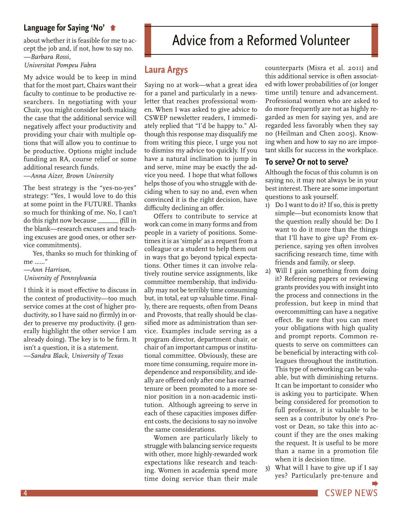#### <span id="page-3-0"></span>**[Language for Saying 'No'](#page-2-0)**

cept the job and, if not, how to say no. *—Barbara Rossi,* 

*Universitat Pompeu Fabra*

My advice would be to keep in mind that for the most part, Chairs want their faculty to continue to be productive researchers. In negotiating with your Chair, you might consider both making the case that the additional service will negatively affect your productivity and providing your chair with multiple options that will allow you to continue to be productive. Options might include funding an RA, course relief or some additional research funds.

*—Anna Aizer, Brown University*

The best strategy is the "yes-no-yes" strategy: "Yes, I would love to do this at some point in the FUTURE. Thanks so much for thinking of me. No, I can't do this right now because \_\_\_\_\_\_ (fill in the blank—research excuses and teaching excuses are good ones, or other service commitments).

Yes, thanks so much for thinking of me ......"

*—Ann Harrison,* 

*University of Pennsylvania*

I think it is most effective to discuss in the context of productivity—too much service comes at the cost of higher productivity, so I have said no (firmly) in order to preserve my productivity. (I generally highlight the other service I am already doing). The key is to be firm. It isn't a question, it is a statement. *—Sandra Black, University of Texas*

about whether it is feasible for me to ac- **Advice from a Reformed Volunteer** 

#### **Laura Argys**

Saying no at work—what a great idea for a panel and particularly in a newsletter that reaches professional women. When I was asked to give advice to CSWEP newsletter readers, I immediately replied that "I'd be happy to." Although this response may disqualify me from writing this piece, I urge you not to dismiss my advice too quickly. If you have a natural inclination to jump in and serve, mine may be exactly the advice you need. I hope that what follows helps those of you who struggle with deciding when to say no and, even when convinced it is the right decision, have difficulty declining an offer.

Offers to contribute to service at work can come in many forms and from people in a variety of positions. Sometimes it is as 'simple' as a request from a colleague or a student to help them out in ways that go beyond typical expectations. Other times it can involve relatively routine service assignments, like committee membership, that individually may not be terribly time consuming but, in total, eat up valuable time. Finally, there are requests, often from Deans and Provosts, that really should be classified more as administration than service. Examples include serving as a program director, department chair, or chair of an important campus or institutional committee. Obviously, these are more time consuming, require more independence and responsibility, and ideally are offered only after one has earned tenure or been promoted to a more senior position in a non-academic institution. Although agreeing to serve in each of these capacities imposes different costs, the decisions to say no involve the same considerations.

Women are particularly likely to struggle with balancing service requests with other, more highly-rewarded work expectations like research and teaching. Women in academia spend more time doing service than their male counterparts (Misra et al. 2011) and this additional service is often associated with lower probabilities of (or longer time until) tenure and advancement. Professional women who are asked to do more frequently are not as highly regarded as men for saying yes, and are regarded less favorably when they say no (Heilman and Chen 2005). Knowing when and how to say no are important skills for success in the workplace.

#### **To serve? Or not to serve?**

Although the focus of this column is on saying no, it may not always be in your best interest. There are some important questions to ask yourself.

- 1) Do I want to do it? If so, this is pretty simple—but economists know that the question really should be: Do I want to do it more than the things that I'll have to give up? From experience, saying yes often involves sacrificing research time, time with friends and family, or sleep.
- 2) Will I gain something from doing it? Refereeing papers or reviewing grants provides you with insight into the process and connections in the profession, but keep in mind that overcommitting can have a negative effect. Be sure that you can meet your obligations with high quality and prompt reports. Common requests to serve on committees can be beneficial by interacting with colleagues throughout the institution. This type of networking can be valuable, but with diminishing returns. It can be important to consider who is asking you to participate. When being considered for promotion to full professor, it is valuable to be seen as a contributor by one's Provost or Dean, so take this into account if they are the ones making the request. It is useful to be more than a name in a promotion file when it is decision time.
- 3) What will I have to give up if I say yes? Particularly pre-tenure a[nd](#page-4-0)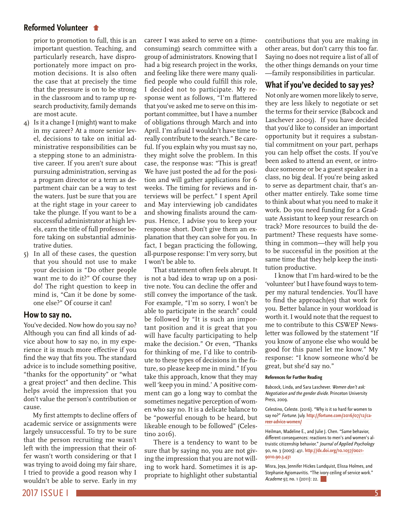#### <span id="page-4-0"></span>**[Reformed Volunteer](#page-3-0)**

prior to promotion to full, this is an important question. Teaching, and particularly research, have disproportionately more impact on promotion decisions. It is also often the case that at precisely the time that the pressure is on to be strong in the classroom and to ramp up research productivity, family demands are most acute.

- 4) Is it a change I (might) want to make in my career? At a more senior level, decisions to take on initial administrative responsibilities can be a stepping stone to an administrative career. If you aren't sure about pursuing administration, serving as a program director or a term as department chair can be a way to test the waters. Just be sure that you are at the right stage in your career to take the plunge. If you want to be a successful administrator at high levels, earn the title of full professor before taking on substantial administrative duties.
- 5) In all of these cases, the question that you should not use to make your decision is "Do other people want me to do it?" Of course they do! The right question to keep in mind is, "Can it be done by someone else?" Of course it can!

#### **How to say no.**

You've decided. Now how do you say no? Although you can find all kinds of advice about how to say no, in my experience it is much more effective if you find the way that fits you. The standard advice is to include something positive, "thanks for the opportunity" or "what a great project" and then decline. This helps avoid the impression that you don't value the person's contribution or cause.

My first attempts to decline offers of academic service or assignments were largely unsuccessful. To try to be sure that the person recruiting me wasn't left with the impression that their offer wasn't worth considering or that I was trying to avoid doing my fair share, I tried to provide a good reason why I wouldn't be able to serve. Early in my

career I was asked to serve on a (timeconsuming) search committee with a group of administrators. Knowing that I had a big research project in the works, and feeling like there were many qualified people who could fulfill this role, I decided not to participate. My response went as follows, "I'm flattered that you've asked me to serve on this important committee, but I have a number of obligations through March and into April. I'm afraid I wouldn't have time to really contribute to the search." Be careful. If you explain why you must say no, they might solve the problem. In this case, the response was: "This is great! We have just posted the ad for the position and will gather applications for 6 weeks. The timing for reviews and interviews will be perfect." I spent April and May interviewing job candidates and showing finalists around the campus. Hence, I advise you to keep your response short. Don't give them an explanation that they can solve for you. In fact, I began practicing the following, all-purpose response: I'm very sorry, but I won't be able to.

That statement often feels abrupt. It is not a bad idea to wrap up on a positive note. You can decline the offer and still convey the importance of the task. For example, "I'm so sorry, I won't be able to participate in the search" could be followed by "It is such an important position and it is great that you will have faculty participating to help make the decision." Or even, "Thanks for thinking of me, I'd like to contribute to these types of decisions in the future, so please keep me in mind." If you take this approach, know that they may well 'keep you in mind.' A positive comment can go a long way to combat the sometimes negative perception of women who say no. It is a delicate balance to be "powerful enough to be heard, but likeable enough to be followed" (Celestino 2016).

There is a tendency to want to be sure that by saying no, you are not giving the impression that you are not willing to work hard. Sometimes it is appropriate to highlight other substantial contributions that you are making in other areas, but don't carry this too far. Saying no does not require a list of all of the other things demands on your time —family responsibilities in particular.

#### **What if you've decided to say yes?**

Not only are women more likely to serve, they are less likely to negotiate or set the terms for their service (Babcock and Laschever 2009). If you have decided that you'd like to consider an important opportunity but it requires a substantial commitment on your part, perhaps you can help offset the costs. If you've been asked to attend an event, or introduce someone or be a guest speaker in a class, no big deal. If you're being asked to serve as department chair, that's another matter entirely. Take some time to think about what you need to make it work. Do you need funding for a Graduate Assistant to keep your research on track? More resources to build the department? These requests have something in common—they will help you to be successful in the position at the same time that they help keep the institution productive.

I know that I'm hard-wired to be the 'volunteer' but I have found ways to temper my natural tendencies. You'll have to find the approach(es) that work for you. Better balance in your workload is worth it. I would note that the request to me to contribute to this CSWEP Newsletter was followed by the statement "If you know of anyone else who would be good for this panel let me know." My response: "I know someone who'd be great, but she'd say no."

#### **References for Further Reading**

Babcock, Linda, and Sara Laschever. Women don't ask: Negotiation and the gender divide. Princeton University Press, 2009.

Celestino, Celeste. (2016). "Why is it so hard for women to say no?" Fortune. July. **[http://fortune.com/2016/07/12/ca](http://fortune.com/2016/07/12/career-advice-women/)[reer-advice-women/](http://fortune.com/2016/07/12/career-advice-women/)**

Heilman, Madeline E., and Julie J. Chen. "Same behavior, different consequences: reactions to men's and women's altruistic citizenship behavior." Journal of Applied Psychology 90, no. 3 (2005): 431. **[http://dx.doi.org/10.1037/0021-](http://dx.doi.org/10.1037/0021-9010.90.3.431) [9010.90.3.431](http://dx.doi.org/10.1037/0021-9010.90.3.431)**

Misra, Joya, Jennifer Hickes Lundquist, Elissa Holmes, and Stephanie Agiomavritis. "The ivory ceiling of service work." Academe 97, no. 1 (2011): 22.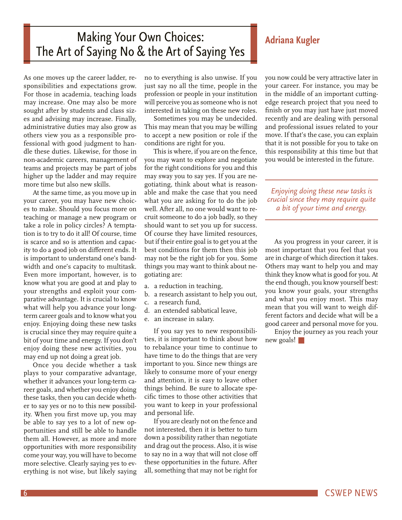## <span id="page-5-0"></span>Making Your Own Choices: Making Your Own Choices: The Art of Saying No & the Art of Saying Yes

As one moves up the career ladder, responsibilities and expectations grow. For those in academia, teaching loads may increase. One may also be more sought after by students and class sizes and advising may increase. Finally, administrative duties may also grow as others view you as a responsible professional with good judgment to handle these duties. Likewise, for those in non-academic careers, management of teams and projects may be part of jobs higher up the ladder and may require more time but also new skills.

At the same time, as you move up in your career, you may have new choices to make. Should you focus more on teaching or manage a new program or take a role in policy circles? A temptation is to try to do it all! Of course, time is scarce and so is attention and capacity to do a good job on different ends. It is important to understand one's bandwidth and one's capacity to multitask. Even more important, however, is to know what you are good at and play to your strengths and exploit your comparative advantage. It is crucial to know what will help you advance your longterm career goals and to know what you enjoy. Enjoying doing these new tasks is crucial since they may require quite a bit of your time and energy. If you don't enjoy doing these new activities, you may end up not doing a great job.

Once you decide whether a task plays to your comparative advantage, whether it advances your long-term career goals, and whether you enjoy doing these tasks, then you can decide whether to say yes or no to this new possibility. When you first move up, you may be able to say yes to a lot of new opportunities and still be able to handle them all. However, as more and more opportunities with more responsibility come your way, you will have to become more selective. Clearly saying yes to everything is not wise, but likely saying

no to everything is also unwise. If you just say no all the time, people in the profession or people in your institution will perceive you as someone who is not interested in taking on these new roles.

Sometimes you may be undecided. This may mean that you may be willing to accept a new position or role if the conditions are right for you.

This is where, if you are on the fence, you may want to explore and negotiate for the right conditions for you and this may sway you to say yes. If you are negotiating, think about what is reasonable and make the case that you need what you are asking for to do the job well. After all, no one would want to recruit someone to do a job badly, so they should want to set you up for success. Of course they have limited resources, but if their entire goal is to get you at the best conditions for them then this job may not be the right job for you. Some things you may want to think about negotiating are:

- a. a reduction in teaching,
- b. a research assistant to help you out,
- c. a research fund,
- d. an extended sabbatical leave,
- e. an increase in salary.

If you say yes to new responsibilities, it is important to think about how to rebalance your time to continue to have time to do the things that are very important to you. Since new things are likely to consume more of your energy and attention, it is easy to leave other things behind. Be sure to allocate specific times to those other activities that you want to keep in your professional and personal life.

If you are clearly not on the fence and not interested, then it is better to turn down a possibility rather than negotiate and drag out the process. Also, it is wise to say no in a way that will not close off these opportunities in the future. After all, something that may not be right for you now could be very attractive later in your career. For instance, you may be in the middle of an important cuttingedge research project that you need to finish or you may just have just moved recently and are dealing with personal and professional issues related to your move. If that's the case, you can explain that it is not possible for you to take on this responsibility at this time but that you would be interested in the future.

*Enjoying doing these new tasks is crucial since they may require quite a bit of your time and energy.* 

As you progress in your career, it is most important that you feel that you are in charge of which direction it takes. Others may want to help you and may think they know what is good for you. At the end though, you know yourself best: you know your goals, your strengths and what you enjoy most. This may mean that you will want to weigh different factors and decide what will be a good career and personal move for you.

Enjoy the journey as you reach your new goals!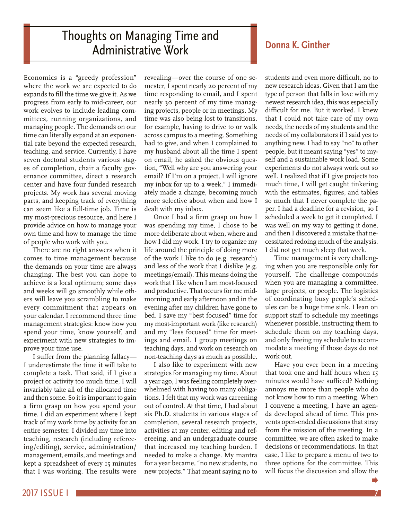<span id="page-6-0"></span>Economics is a "greedy profession" where the work we are expected to do expands to fill the time we give it. As we progress from early to mid-career, our work evolves to include leading committees, running organizations, and managing people. The demands on our time can literally expand at an exponential rate beyond the expected research, teaching, and service. Currently, I have seven doctoral students various stages of completion, chair a faculty governance committee, direct a research center and have four funded research projects. My work has several moving parts, and keeping track of everything can seem like a full-time job. Time is my most-precious resource, and here I provide advice on how to manage your own time and how to manage the time of people who work with you.

There are no right answers when it comes to time management because the demands on your time are always changing. The best you can hope to achieve is a local optimum; some days and weeks will go smoothly while others will leave you scrambling to make every commitment that appears on your calendar. I recommend three time management strategies: know how you spend your time, know yourself, and experiment with new strategies to improve your time use.

I suffer from the planning fallacy— I underestimate the time it will take to complete a task. That said, if I give a project or activity too much time, I will invariably take all of the allocated time and then some. So it is important to gain a firm grasp on how you spend your time. I did an experiment where I kept track of my work time by activity for an entire semester. I divided my time into teaching, research (including refereeing/editing), service, administration/ management, emails, and meetings and kept a spreadsheet of every 15 minutes that I was working. The results were

revealing—over the course of one semester, I spent nearly 20 percent of my time responding to email, and I spent nearly 30 percent of my time managing projects, people or in meetings. My time was also being lost to transitions, for example, having to drive to or walk across campus to a meeting. Something had to give, and when I complained to my husband about all the time I spent on email, he asked the obvious question, "Well why are you answering your email? If I'm on a project, I will ignore my inbox for up to a week." I immediately made a change, becoming much more selective about when and how I dealt with my inbox.

Once I had a firm grasp on how I was spending my time, I chose to be more deliberate about when, where and how I did my work. I try to organize my life around the principle of doing more of the work I like to do (e.g. research) and less of the work that I dislike (e.g. meetings/email). This means doing the work that I like when I am most-focused and productive. That occurs for me midmorning and early afternoon and in the evening after my children have gone to bed. I save my "best focused" time for my most-important work (like research) and my "less focused" time for meetings and email. I group meetings on teaching days, and work on research on non-teaching days as much as possible.

I also like to experiment with new strategies for managing my time. About a year ago, I was feeling completely overwhelmed with having too many obligations. I felt that my work was careening out of control. At that time, I had about six Ph.D. students in various stages of completion, several research projects, activities at my center, editing and refereeing, and an undergraduate course that increased my teaching burden. I needed to make a change. My mantra for a year became, "no new students, no new projects." That meant saying no to

students and even more difficult, no to new research ideas. Given that I am the type of person that falls in love with my newest research idea, this was especially difficult for me. But it worked. I knew that I could not take care of my own needs, the needs of my students and the needs of my collaborators if I said yes to anything new. I had to say "no" to other people, but it meant saying "yes" to myself and a sustainable work load. Some experiments do not always work out so well. I realized that if I give projects too much time, I will get caught tinkering with the estimates, figures, and tables so much that I never complete the paper. I had a deadline for a revision, so I scheduled a week to get it completed. I was well on my way to getting it done, and then I discovered a mistake that necessitated redoing much of the analysis. I did not get much sleep that week.

Time management is very challenging when you are responsible only for yourself. The challenge compounds when you are managing a committee, large projects, or people. The logistics of coordinating busy people's schedules can be a huge time sink. I lean on support staff to schedule my meetings whenever possible, instructing them to schedule them on my teaching days, and only freeing my schedule to accommodate a meeting if those days do not work out.

Have you ever been in a meeting that took one and half hours when 15 minutes would have sufficed? Nothing annoys me more than people who do not know how to run a meeting. When I convene a meeting, I have an agenda developed ahead of time. This prevents open-ended discussions that stray from the mission of the meeting. In a committee, we are often asked to make decisions or recommendations. In that case, I like to prepare a menu of two to three options for the committee. This will focus the discussion and allow the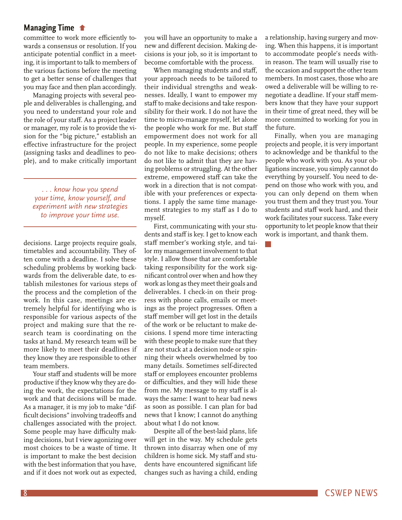#### **Managing Time**

[committee to work more efficiently to](#page-6-0)wards a consensus or resolution. If you anticipate potential conflict in a meeting, it is important to talk to members of the various factions before the meeting to get a better sense of challenges that you may face and then plan accordingly.

Managing projects with several people and deliverables is challenging, and you need to understand your role and the role of your staff. As a project leader or manager, my role is to provide the vision for the "big picture," establish an effective infrastructure for the project (assigning tasks and deadlines to people), and to make critically important

*. . . know how you spend your time, know yourself, and experiment with new strategies to improve your time use.*

decisions. Large projects require goals, timetables and accountability. They often come with a deadline. I solve these scheduling problems by working backwards from the deliverable date, to establish milestones for various steps of the process and the completion of the work. In this case, meetings are extremely helpful for identifying who is responsible for various aspects of the project and making sure that the research team is coordinating on the tasks at hand. My research team will be more likely to meet their deadlines if they know they are responsible to other team members.

Your staff and students will be more productive if they know why they are doing the work, the expectations for the work and that decisions will be made. As a manager, it is my job to make "difficult decisions" involving tradeoffs and challenges associated with the project. Some people may have difficulty making decisions, but I view agonizing over most choices to be a waste of time. It is important to make the best decision with the best information that you have, and if it does not work out as expected,

you will have an opportunity to make a new and different decision. Making decisions is your job, so it is important to become comfortable with the process.

When managing students and staff, your approach needs to be tailored to their individual strengths and weaknesses. Ideally, I want to empower my staff to make decisions and take responsibility for their work. I do not have the time to micro-manage myself, let alone the people who work for me. But staff empowerment does not work for all people. In my experience, some people do not like to make decisions; others do not like to admit that they are having problems or struggling. At the other extreme, empowered staff can take the work in a direction that is not compatible with your preferences or expectations. I apply the same time management strategies to my staff as I do to myself.

First, communicating with your students and staff is key. I get to know each staff member's working style, and tailor my management involvement to that style. I allow those that are comfortable taking responsibility for the work significant control over when and how they work as long as they meet their goals and deliverables. I check-in on their progress with phone calls, emails or meetings as the project progresses. Often a staff member will get lost in the details of the work or be reluctant to make decisions. I spend more time interacting with these people to make sure that they are not stuck at a decision node or spinning their wheels overwhelmed by too many details. Sometimes self-directed staff or employees encounter problems or difficulties, and they will hide these from me. My message to my staff is always the same: I want to hear bad news as soon as possible. I can plan for bad news that I know; I cannot do anything about what I do not know.

Despite all of the best-laid plans, life will get in the way. My schedule gets thrown into disarray when one of my children is home sick. My staff and students have encountered significant life changes such as having a child, ending a relationship, having surgery and moving. When this happens, it is important to accommodate people's needs within reason. The team will usually rise to the occasion and support the other team members. In most cases, those who are owed a deliverable will be willing to renegotiate a deadline. If your staff members know that they have your support in their time of great need, they will be more committed to working for you in the future.

Finally, when you are managing projects and people, it is very important to acknowledge and be thankful to the people who work with you. As your obligations increase, you simply cannot do everything by yourself. You need to depend on those who work with you, and you can only depend on them when you trust them and they trust you. Your students and staff work hard, and their work facilitates your success. Take every opportunity to let people know that their work is important, and thank them.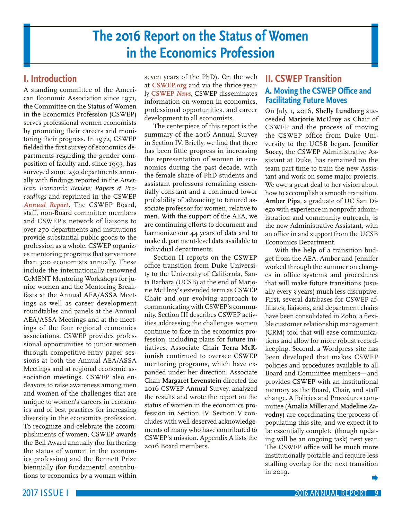# **The 2016 Report on the Status of Women in the Economics Profession**

## <span id="page-8-0"></span>**I. Introduction**

A standing committee of the American Economic Association since 1971, the Committee on the Status of Women in the Economics Profession (CSWEP) serves professional women economists by promoting their careers and monitoring their progress. In 1972, CSWEP fielded the first survey of economics departments regarding the gender composition of faculty and, since 1993, has surveyed some 250 departments annually with findings reported in the *American Economic Review: Papers & Proceedings* and reprinted in the CSWEP *[Annual Report](https://www.aeaweb.org/committees/cswep/annual_reports.php)*. The CSWEP Board, staff, non-Board committee members and CSWEP's network of liaisons to over 270 departments and institutions provide substantial public goods to the profession as a whole. CSWEP organizes mentoring programs that serve more than 300 economists annually. These include the internationally renowned CeMENT Mentoring Workshops for junior women and the Mentoring Breakfasts at the Annual AEA/ASSA Meetings as well as career development roundtables and panels at the Annual AEA/ASSA Meetings and at the meetings of the four regional economics associations. CSWEP provides professional opportunities to junior women through competitive-entry paper sessions at both the Annual AEA/ASSA Meetings and at regional economic association meetings. CSWEP also endeavors to raise awareness among men and women of the challenges that are unique to women's careers in economics and of best practices for increasing diversity in the economics profession. To recognize and celebrate the accomplishments of women, CSWEP awards the Bell Award annually (for furthering the status of women in the economics profession) and the Bennett Prize biennially (for fundamental contributions to economics by a woman within

seven years of the PhD). On the web at **[CSWEP.org](http://cswep.org)** and via the thrice-yearly **[CSWEP](https://www.aeaweb.org/committees/cswep/newsletters.php)** *News*, CSWEP disseminates information on women in economics, professional opportunities, and career development to all economists.

The centerpiece of this report is the summary of the 2016 Annual Survey in Section IV. Briefly, we find that there has been little progress in increasing the representation of women in economics during the past decade, with the female share of PhD students and assistant professors remaining essentially constant and a continued lower probability of advancing to tenured associate professor for women, relative to men. With the support of the AEA, we are continuing efforts to document and harmonize our 44 years of data and to make department-level data available to individual departments.

Section II reports on the CSWEP office transition from Duke University to the University of California, Santa Barbara (UCSB) at the end of Marjorie McElroy's extended term as CSWEP Chair and our evolving approach to communicating with CSWEP's community. Section III describes CSWEP activities addressing the challenges women continue to face in the economics profession, including plans for future initiatives. Associate Chair **Terra McKinnish** continued to oversee CSWEP mentoring programs, which have expanded under her direction. Associate Chair **Margaret Levenstein** directed the 2016 CSWEP Annual Survey, analyzed the results and wrote the report on the status of women in the economics profession in Section IV. Section V concludes with well-deserved acknowledgements of many who have contributed to CSWEP's mission. Appendix A lists the 2016 Board members.

#### **II. CSWEP Transition A. Moving the CSWEP Office and Facilitating Future Moves**

On July 1, 2016, **Shelly Lundberg** succeeded **Marjorie McElroy** as Chair of CSWEP and the process of moving the CSWEP office from Duke University to the UCSB began. **Jennifer Socey**, the CSWEP Administrative Assistant at Duke, has remained on the team part time to train the new Assistant and work on some major projects. We owe a great deal to her vision about how to accomplish a smooth transition. **Amber Pipa**, a graduate of UC San Diego with experience in nonprofit administration and community outreach, is the new Administrative Assistant, with an office in and support from the UCSB Economics Department.

With the help of a transition budget from the AEA, Amber and Jennifer worked through the summer on changes in office systems and procedures that will make future transitions (usually every 3 years) much less disruptive. First, several databases for CSWEP affiliates, liaisons, and department chairs have been consolidated in Zoho, a flexible customer relationship management (CRM) tool that will ease communications and allow for more robust recordkeeping. Second, a Wordpress site has been developed that makes CSWEP policies and procedures available to all Board and Committee members—and provides CSWEP with an institutional memory as the Board, Chair, and staff change. A Policies and Procedures committee (**Amalia Miller** and **Madeline Zavodny**) are coordinating the process of populating this site, and we expect it to be essentially complete (though updating will be an ongoing task) next year. The CSWEP office will be much more institutionally portable and require less staffing overlap for the next transition in 2019.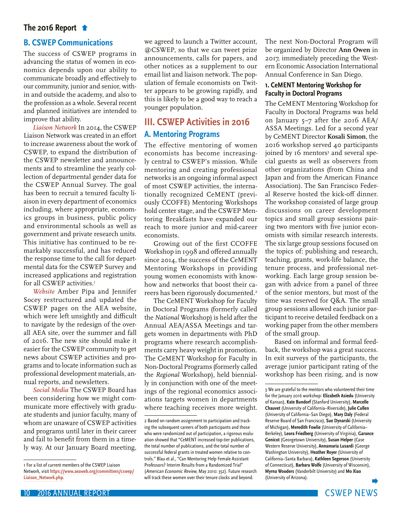#### <span id="page-9-0"></span>**B. CSWEP Communications**

The success of CSWEP programs in advancing the status of women in economics depends upon our ability to communicate broadly and effectively to our community, junior and senior, within and outside the academy, and also to the profession as a whole. Several recent and planned initiatives are intended to improve that ability.

*Liaison Network* In 2014, the CSWEP Liaison Network was created in an effort to increase awareness about the work of CSWEP, to expand the distribution of the CSWEP newsletter and announcements and to streamline the yearly collection of departmental gender data for the CSWEP Annual Survey. The goal has been to recruit a tenured faculty liaison in every department of economics including, where appropriate, economics groups in business, public policy and environmental schools as well as government and private research units. This initiative has continued to be remarkably successful, and has reduced the response time to the call for departmental data for the CSWEP Survey and increased applications and registration for all CSWEP activities.<sup>1</sup>

*Website* Amber Pipa and Jennifer Socey restructured and updated the CSWEP pages on the AEA website, which were left unsightly and difficult to navigate by the redesign of the overall AEA site, over the summer and fall of 2016. The new site should make it easier for the CSWEP community to get news about CSWEP activities and programs and to locate information such as professional development materials, annual reports, and newsletters.

*Social Media* The CSWEP Board has been considering how we might communicate more effectively with graduate students and junior faculty, many of whom are unaware of CSWEP activities and programs until later in their career and fail to benefit from them in a timely way. At our January Board meeting,

we agreed to launch a Twitter account, @CSWEP, so that we can tweet prize announcements, calls for papers, and other notices as a supplement to our email list and liaison network. The population of female economists on Twitter appears to be growing rapidly, and this is likely to be a good way to reach a younger population.

#### **III. CSWEP Activities in 2016 A. Mentoring Programs**

The effective mentoring of women economists has become increasingly central to CSWEP's mission. While mentoring and creating professional networks is an ongoing informal aspect of most CSWEP activities, the internationally recognized CeMENT (previously CCOFFE) Mentoring Workshops hold center stage, and the CSWEP Mentoring Breakfasts have expanded our reach to more junior and mid-career economists.

Growing out of the first CCOFFE Workshop in 1998 and offered annually since 2014, the success of the CeMENT Mentoring Workshops in providing young women economists with knowhow and networks that boost their careers has been rigorously documented.<sup>2</sup>

The CeMENT Workshop for Faculty in Doctoral Programs (formerly called the *National* Workshop) is held after the Annual AEA/ASSA Meetings and targets women in departments with PhD programs where research accomplishments carry heavy weight in promotion. The CeMENT Workshop for Faculty in Non-Doctoral Programs (formerly called the *Regional* Workshop), held biennially in conjunction with one of the meetings of the regional economics associations targets women in departments where teaching receives more weight. The next Non-Doctoral Program will be organized by Director **Ann Owen** in 2017, immediately preceding the Western Economic Association International Annual Conference in San Diego.

#### **1. CeMENT Mentoring Workshop for Faculty in Doctoral Programs**

The CeMENT Mentoring Workshop for Faculty in Doctoral Programs was held on January 5–7 after the 2016 AEA/ ASSA Meetings. Led for a second year by CeMENT Director **Kosali Simon**, the 2016 workshop served 40 participants joined by 16 mentors<sup>3</sup> and several special guests as well as observers from other organizations (from China and Japan and from the American Finance Association). The San Francisco Federal Reserve hosted the kick-off dinner. The workshop consisted of large group discussions on career development topics and small group sessions pairing two mentors with five junior economists with similar research interests. The six large group sessions focused on the topics of: publishing and research, teaching, grants, work-life balance, the tenure process, and professional networking. Each large group session began with advice from a panel of three of the senior mentors, but most of the time was reserved for Q&A. The small group sessions allowed each junior participant to receive detailed feedback on a working paper from the other members of the small group.

Based on informal and formal feedback, the workshop was a great success. In exit surveys of the participants, the average junior participant rating of the workshop has been rising, and is now

<sup>1</sup> For a list of current members of the CSWEP Liaison Network, visit **[https://www.aeaweb.org/committees/cswep/](https://www.aeaweb.org/committees/cswep/Liaison_Network.php) [Liaison\\_Network.php](https://www.aeaweb.org/committees/cswep/Liaison_Network.php)**.

<sup>2</sup> Based on random assignment to participation and tracking the subsequent careers of both participants and those who were randomized out of participation, a rigorous evaluation showed that "CeMENT increased top-tier publications, the total number of publications, and the total number of successful federal grants in treated women relative to controls." Blau et al., "Can Mentoring Help Female Assistant Professors? Interim Results from a Randomized Trial" (American Economic Review, May 2010: 352). Future research will track these women over their tenure clocks and beyond.

<sup>3</sup> We are grateful to the mentors who volunteered their time for the January 2016 workshop: **Elizabeth Asiedu** (University of Kansas), **Kate Bundorf** (Stanford University), **Marcelle Chauvet** (University of California–Riverside), **Julie Cullen** (University of California–San Diego), **Mary Daly** (Federal Reserve Board of San Francisco), **Sue Dynarski** (University of Michigan), **Meredith Fowlie** (University of California– Berkeley), **Leora Friedberg** (University of Virginia), **Garance Genicot** (Georgetown University), **Susan Helper** (Case Western Reserve University), **Annamaria Lusardi** (George Washington University), **Heather Royer** (University of California–Santa Barbara), **Kathleen Segerson** (University of Connecticut), **Barbara Wolfe** (University of Wisconsin), **Myrna Wooders** (Vanderbilt University) and **Mo Xiao** (University of Arizona).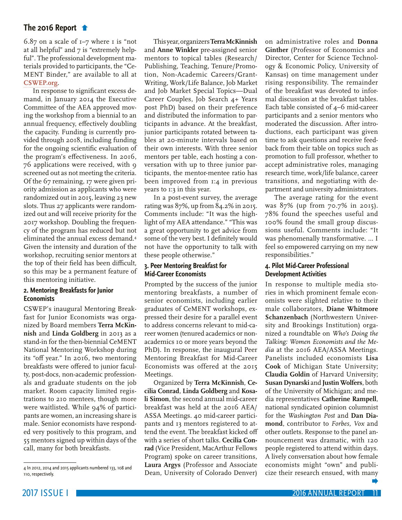<span id="page-10-0"></span>6.87 on a scale of  $I$ -7 where I is "not at all helpful" and 7 is "extremely helpful". The professional development materials provided to participants, the "Ce-MENT Binder," are available to all at **[CSWEP.org](http://www.aeaweb.org/committees/CSWEP/mentoring/reading.php)**.

In response to significant excess demand, in January 2014 the Executive Committee of the AEA approved moving the workshop from a biennial to an annual frequency, effectively doubling the capacity. Funding is currently provided through 2018, including funding for the ongoing scientific evaluation of the program's effectiveness. In 2016, 76 applications were received, with 9 screened out as not meeting the criteria. Of the 67 remaining, 17 were given priority admission as applicants who were randomized out in 2015, leaving 23 new slots. Thus 27 applicants were randomized out and will receive priority for the 2017 workshop. Doubling the frequency of the program has reduced but not eliminated the annual excess demand.4 Given the intensity and duration of the workshop, recruiting senior mentors at the top of their field has been difficult, so this may be a permanent feature of this mentoring initiative.

#### **2. Mentoring Breakfasts for Junior Economists**

CSWEP's inaugural Mentoring Breakfast for Junior Economists was organized by Board members **Terra McKinnish** and **Linda Goldberg** in 2013 as a stand-in for the then-biennial CeMENT National Mentoring Workshop during its "off year." In 2016, two mentoring breakfasts were offered to junior faculty, post-docs, non-academic professionals and graduate students on the job market. Room capacity limited registrations to 210 mentees, though more were waitlisted. While 94% of participants are women, an increasing share is male. Senior economists have responded very positively to this program, and 55 mentors signed up within days of the call, many for both breakfasts.

This year, organizers **Terra McKinnish** and **Anne Winkler** pre-assigned senior mentors to topical tables (Research/ Publishing, Teaching, Tenure/Promotion, Non-Academic Careers/Grant-Writing, Work/Life Balance, Job Market and Job Market Special Topics—Dual Career Couples, Job Search 4+ Years post PhD) based on their preference and distributed the information to participants in advance. At the breakfast, junior participants rotated between tables at 20-minute intervals based on their own interests. With three senior mentors per table, each hosting a conversation with up to three junior participants, the mentor-mentee ratio has been improved from 1:4 in previous years to 1:3 in this year.

In a post-event survey, the average rating was 87%, up from 84.2% in 2015. Comments include: "It was the highlight of my AEA attendance." "This was a great opportunity to get advice from some of the very best. I definitely would not have the opportunity to talk with these people otherwise."

#### **3. Peer Mentoring Breakfast for Mid-Career Economists**

Prompted by the success of the junior mentoring breakfasts, a number of senior economists, including earlier graduates of CeMENT workshops, expressed their desire for a parallel event to address concerns relevant to mid-career women (tenured academics or nonacademics 10 or more years beyond the PhD). In response, the inaugural Peer Mentoring Breakfast for Mid-Career Economists was offered at the 2015 Meetings.

Organized by **Terra McKinnish**, **Cecilia Conrad**, **Linda Goldberg** and **Kosali Simon**, the second annual mid-career breakfast was held at the 2016 AEA/ ASSA Meetings. 40 mid-career participants and 13 mentors registered to attend the event. The breakfast kicked off with a series of short talks. **Cecilia Conrad** (Vice President, MacArthur Fellows Program) spoke on career transitions, **Laura Argys** (Professor and Associate Dean, University of Colorado Denver)

on administrative roles and **Donna Ginther** (Professor of Economics and Director, Center for Science Technology & Economic Policy, University of Kansas) on time management under rising responsibility. The remainder of the breakfast was devoted to informal discussion at the breakfast tables. Each table consisted of 4–6 mid-career participants and 2 senior mentors who moderated the discussion. After introductions, each participant was given time to ask questions and receive feedback from their table on topics such as promotion to full professor, whether to accept administrative roles, managing research time, work/life balance, career transitions, and negotiating with department and university administrators.

The average rating for the event was 87% (up from 70.7% in 2015). 78% found the speeches useful and 100% found the small group discussions useful. Comments include: "It was phenomenally transformative. … I feel so empowered carrying on my new responsibilities."

#### **4. Pilot Mid-Career Professional Development Activities**

In response to multiple media stories in which prominent female economists were slighted relative to their male collaborators, **Diane Whitmore Schanzenbach** (Northwestern University and Brookings Institution) organized a roundtable on *Who's Doing the Talking: Women Economists and the Media* at the 2016 AEA/ASSA Meetings. Panelists included economists **Lisa Cook** of Michigan State University; **Claudia Goldin** of Harvard University; **Susan Dynarski** and **Justin Wolfers**, both of the University of Michigan; and media representatives **Catherine Rampell**, national syndicated opinion columnist for the *Washington Post* and **Dan Diamond**, contributor to *Forbes, Vox* and other outlets. Response to the panel announcement was dramatic, with 120 people registered to attend within days. A lively conversation about how female economists might "own" and publicize their research ensued, with m[any](#page-11-0) 

<sup>4</sup> In 2012, 2014 and 2015 applicants numbered 133, 108 and 110, respectively.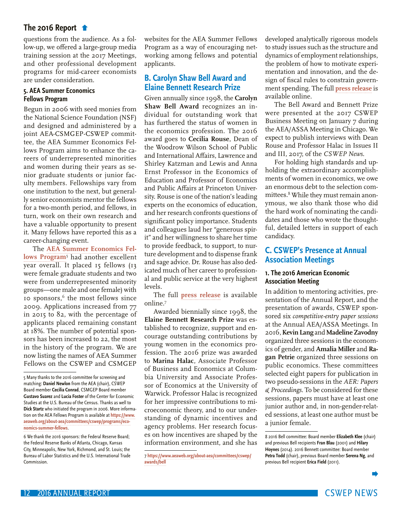<span id="page-11-0"></span>[questions from the audience. As a fol](#page-10-0)low-up, we offered a large-group media training session at the 2017 Meetings, and other professional development programs for mid-career economists are under consideration.

#### **5. AEA Summer Economics Fellows Program**

Begun in 2006 with seed monies from the National Science Foundation (NSF) and designed and administered by a joint AEA-CSMGEP-CSWEP committee, the AEA Summer Economics Fellows Program aims to enhance the careers of underrepresented minorities and women during their years as senior graduate students or junior faculty members. Fellowships vary from one institution to the next, but generally senior economists mentor the fellows for a two-month period, and fellows, in turn, work on their own research and have a valuable opportunity to present it. Many fellows have reported this as a career-changing event.

The **[AEA Summer Economics Fel](https://www.aeaweb.org/about-aea/committees/cswep/programs/economics-summer-fellows)**[lows Program](https://www.aeaweb.org/about-aea/committees/cswep/programs/economics-summer-fellows)<sup>5</sup> had another excellent year overall. It placed 15 fellows (13 were female graduate students and two were from underrepresented minority groups—one male and one female) with 10 sponsors,<sup>6</sup> the most fellows since 2009. Applications increased from 77 in 2015 to 82, with the percentage of applicants placed remaining constant at 18%. The number of potential sponsors has been increased to 22, the most in the history of the program. We are now listing the names of AEA Summer Fellows on the CSWEP and CSMGEP

websites for the AEA Summer Fellows Program as a way of encouraging networking among fellows and potential applicants.

#### **B. Carolyn Shaw Bell Award and Elaine Bennett Research Prize**

Given annually since 1998, the **Carolyn Shaw Bell Award** recognizes an individual for outstanding work that has furthered the status of women in the economics profession. The 2016 award goes to **Cecilia Rouse**, Dean of the Woodrow Wilson School of Public and International Affairs, Lawrence and Shirley Katzman and Lewis and Anna Ernst Professor in the Economics of Education and Professor of Economics and Public Affairs at Princeton University. Rouse is one of the nation's leading experts on the economics of education, and her research confronts questions of significant policy importance. Students and colleagues laud her "generous spirit" and her willingness to share her time to provide feedback, to support, to nurture development and to dispense frank and sage advice. Dr. Rouse has also dedicated much of her career to professional and public service at the very highest levels.

The full **[press release](https://www.aeaweb.org/about-aea/committees/cswep/awards/bell)** is available online.7

Awarded biennially since 1998, the **Elaine Bennett Research Prize** was established to recognize, support and encourage outstanding contributions by young women in the economics profession. The 2016 prize was awarded to **Marina Halac**, Associate Professor of Business and Economics at Columbia University and Associate Professor of Economics at the University of Warwick. Professor Halac is recognized for her impressive contributions to microeconomic theory, and to our understanding of dynamic incentives and agency problems. Her research focuses on how incentives are shaped by the information environment, and she has developed analytically rigorous models to study issues such as the structure and dynamics of employment relationships, the problem of how to motivate experimentation and innovation, and the design of fiscal rules to constrain government spending. The full **[press release](https://www.aeaweb.org/content/file?id=2604)** is available online.

The Bell Award and Bennett Prize were presented at the 2017 CSWEP Business Meeting on January 7 during the AEA/ASSA Meeting in Chicago. We expect to publish interviews with Dean Rouse and Professor Halac in Issues II and III, 2017, of the *CSWEP News*.

For holding high standards and upholding the extraordinary accomplishments of women in economics, we owe an enormous debt to the selection committees.8 While they must remain anonymous, we also thank those who did the hard work of nominating the candidates and those who wrote the thoughtful, detailed letters in support of each candidacy.

#### **C. CSWEP's Presence at Annual Association Meetings**

#### **1. The 2016 American Economic Association Meeting**

In addition to mentoring activities, presentation of the Annual Report, and the presentation of awards, CSWEP sponsored six *competitive-entry paper sessions* at the Annual AEA/ASSA Meetings. In 2016, **Kevin Lang** and **Madeline Zavodny** organized three sessions in the economics of gender, and **Amalia Miller** and **Ragan Petrie** organized three sessions on public economics. These committees selected eight papers for publication in two pseudo-sessions in the *AER: Papers & Proceedings*. To be considered for these sessions, papers must have at least one junior author and, in non-gender-related sessions, at least one author must be a junior female.

<sup>5</sup> Many thanks to the 2016 committee for screening and matching: **Daniel Newlon** from the AEA (chair), CSWEP Board member **Cecilia Conrad**, CSMGEP Board member **Gustavo Suarez** and **Lucia Foster** of the Center for Economic Studies at the U.S. Bureau of the Census. Thanks as well to **Dick Startz** who initiated the program in 2006. More information on the AEA Fellows Program is available at **[https://www.](https://www.aeaweb.org/about-aea/committees/cswep/programs/economics-summer-fellows) [aeaweb.org/about-aea/committees/cswep/programs/eco](https://www.aeaweb.org/about-aea/committees/cswep/programs/economics-summer-fellows)[nomics-summer-fellows](https://www.aeaweb.org/about-aea/committees/cswep/programs/economics-summer-fellows)**.

<sup>6</sup> We thank the 2016 sponsors: the Federal Reserve Board; the Federal Reserve Banks of Atlanta, Chicago, Kansas City, Minneapolis, New York, Richmond, and St. Louis; the Bureau of Labor Statistics and the U.S. International Trade Commission.

<sup>7</sup> **[https://www.aeaweb.org/about-aea/committees/cswep/](https://www.aeaweb.org/about-aea/committees/cswep/awards/bell) [awards/bell](https://www.aeaweb.org/about-aea/committees/cswep/awards/bell)**

<sup>8 2016</sup> Bell committee: Board member **Elizabeth Klee** (chair) and previous Bell recipients **Fran Blau** (2001) and **Hilary Hoynes** (2014). 2016 Bennett committee: Board member **Petra Todd** (chair), previous Board member **Serena Ng**, and previous Bell recipient **Erica Field** (2011).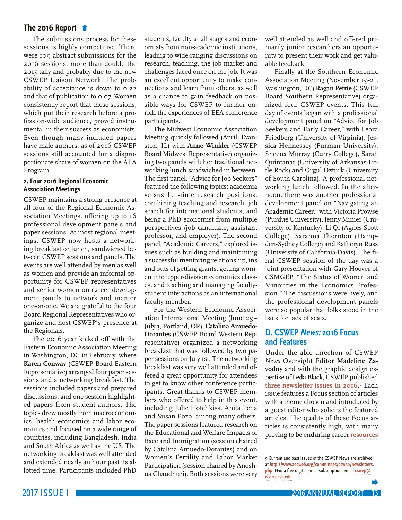<span id="page-12-0"></span>[The submissions process for these](#page-11-0)  sessions is highly competitive. There were 109 abstract submissions for the 2016 sessions, more than double the 2015 tally and probably due to the new CSWEP Liaison Network. The probability of acceptance is down to 0.22 and that of publication to 0.07. Women consistently report that these sessions, which put their research before a profession-wide audience, proved instrumental in their success as economists. Even though many included papers have male authors, as of 2016 CSWEP sessions still accounted for a disproportionate share of women on the AEA Program.

#### **2. Four 2016 Regional Economic Association Meetings**

CSWEP maintains a strong presence at all four of the Regional Economic Association Meetings, offering up to 16 professional development panels and paper sessions. At most regional meetings, CSWEP now hosts a networking breakfast or lunch, sandwiched between CSWEP sessions and panels. The events are well attended by men as well as women and provide an informal opportunity for CSWEP representatives and senior women on career development panels to network and mentor one-on-one. We are grateful to the four Board Regional Representatives who organize and host CSWEP's presence at the Regionals.

The 2016 year kicked off with the Eastern Economic Association Meeting in Washington, DC in February, where **Karen Conway** (CSWEP Board Eastern Representative) arranged four paper sessions and a networking breakfast. The sessions included papers and prepared discussions, and one session highlighted papers from student authors. The topics drew mostly from macroeconomics, health economics and labor economics and focused on a wide range of countries, including Bangladesh, India and South Africa as well as the US. The networking breakfast was well attended and extended nearly an hour past its allotted time. Participants included PhD

students, faculty at all stages and economists from non-academic institutions, leading to wide-ranging discussions on research, teaching, the job market and challenges faced once on the job. It was an excellent opportunity to make connections and learn from others, as well as a chance to gain feedback on possible ways for CSWEP to further enrich the experiences of EEA conference participants.

The Midwest Economic Association Meeting quickly followed (April, Evanston, IL) with **Anne Winkler** (CSWEP Board Midwest Representative) organizing two panels with her traditional networking lunch sandwiched in between. The first panel, "Advice for Job Seekers" featured the following topics: academia versus full-time research positions, combining teaching and research, job search for international students, and being a PhD economist from multiple perspectives (job candidate, assistant professor, and employer). The second panel, "Academic Careers," explored issues such as building and maintaining a successful mentoring relationship, ins and outs of getting grants, getting women into upper-division economics classes, and teaching and managing facultystudent interactions as an international faculty member.

For the Western Economic Association International Meeting (June 29– July 3, Portland, OR), **Catalina Amuedo-Dorantes** (CSWEP Board Western Representative) organized a networking breakfast that was followed by two paper sessions on July 1st. The networking breakfast was very well attended and offered a great opportunity for attendees to get to know other conference participants. Great thanks to CSWEP members who offered to help in this event, including Julie Hotchkiss, Anita Pena and Susan Pozo, among many others. The paper sessions featured research on the Educational and Welfare Impacts of Race and Immigration (session chaired by Catalina Amuedo-Dorantes) and on Women's Fertility and Labor Market Participation (session chaired by Anoshua Chaudhuri). Both sessions were very well attended as well and offered primarily junior researchers an opportunity to present their work and get valuable feedback.

Finally at the Southern Economic Association Meeting (November 19-21, Washington, DC) **Ragan Petrie** (CSWEP Board Southern Representative) organized four CSWEP events. This full day of events began with a professional development panel on "Advice for Job Seekers and Early Career," with Leora Friedberg (University of Virginia), Jessica Hennessey (Furman University), Sheena Murray (Curry College), Sarah Quintanar (University of Arkansas-Little Rock) and Orgul Ozturk (University of South Carolina). A professional networking lunch followed. In the afternoon, there was another professional development panel on "Navigating an Academic Career," with Victoria Prowse (Purdue University), Jenny Minier (University of Kentucky), Li Qi (Agnes Scott College), Saranna Thornton (Hampden-Sydney College) and Katheryn Russ (University of California-Davis). The final CSWEP session of the day was a joint presentation with Gary Hoover of CSMGEP, "The Status of Women and Minorities in the Economics Profession." The discussions were lively, and the professional development panels were so popular that folks stood in the back for lack of seats.

#### **D. CSWEP News: 2016 Focus and Features**

Under the able direction of CSWEP *News* Oversight Editor **Madeline Zavodny** and with the graphic design expertise of **Leda Black**, CSWEP published **[three newsletter issues in 2016](http://www.aeaweb.org/committees/cswep/newsletters.php)**. 9 Each issue features a Focus section of articles with a theme chosen and introduced by a guest editor who solicits the featured articles. The quality of these Focus articles is consistently high, with many proving to be enduring career **[resources](http://www.aeaweb.org/committees/CSWEP/mentoring/reading.php)** 

<sup>9</sup> Current and past issues of the CSWEP News are archived at **[http://www.aeaweb.org/committees/cswep/newsletters.](http://www.aeaweb.org/committees/cswep/newsletters.php) [php](http://www.aeaweb.org/committees/cswep/newsletters.php)**. FFor a free digital email subscription, email **[cswep@](mailto:cswep%40econ.ucsb.edu?subject=request%20digital%20subscription%20to%20CSWEP%20News) [econ.ucsb.edu](mailto:cswep%40econ.ucsb.edu?subject=request%20digital%20subscription%20to%20CSWEP%20News)**.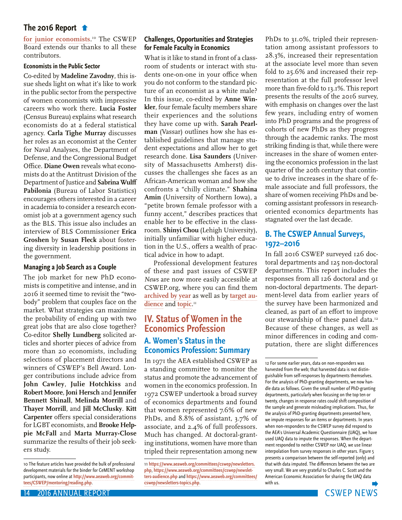<span id="page-13-0"></span>**[for junior economists](http://www.aeaweb.org/committees/CSWEP/mentoring/reading.php)**. 10 The CSWEP Board extends our thanks to all these contributors.

#### **Economists in the Public Sector**

Co-edited by **Madeline Zavodny**, this issue sheds light on what it's like to work in the public sector from the perspective of women economists with impressive careers who work there. **Lucia Foster** (Census Bureau) explains what research economists do at a federal statistical agency. **Carla Tighe Murray** discusses her roles as an economist at the Center for Naval Analyses, the Department of Defense, and the Congressional Budget Office. **Diane Owen** reveals what economists do at the Antitrust Division of the Department of Justice and **Sabrina Wulff Pabilonia** (Bureau of Labor Statistics) encourages others interested in a career in academia to consider a research economist job at a government agency such as the BLS. This issue also includes an interview of BLS Commissioner **Erica Groshen** by **Susan Fleck** about fostering diversity in leadership positions in the government.

#### **Managing a Job Search as a Couple**

The job market for new PhD economists is competitive and intense, and in 2016 it seemed time to revisit the "twobody" problem that couples face on the market. What strategies can maximize the probability of ending up with two great jobs that are also close together? Co-editor **Shelly Lundberg** solicited articles and shorter pieces of advice from more than 20 economists, including selections of placement directors and winners of CSWEP's Bell Award. Longer contributions include advice from **John Cawley**, **Julie Hotchkiss** and **Robert Moore**, **Joni Hersch** and **Jennifer Bennett Shinall**, **Melinda Morrill** and **Thayer Morrill**, and **Jill McClusky**. **Kitt Carpenter** offers special considerations for LGBT economists, and **Brooke Helppie McFall** and **Marta Murray-Close** summarize the results of their job seekers study.

What is it like to stand in front of a classroom of students or interact with students one-on-one in your office when you do not conform to the standard picture of an economist as a white male? In this issue, co-edited by **Anne Winkler**, four female faculty members share their experiences and the solutions they have come up with. **Sarah Pearlman** (Vassar) outlines how she has established guidelines that manage student expectations and allow her to get research done. **Lisa Saunders** (University of Massachusetts Amherst) discusses the challenges she faces as an African-American woman and how she confronts a "chilly climate." **Shahina Amin** (University of Northern Iowa), a "petite brown female professor with a funny accent," describes practices that enable her to be effective in the classroom. **Shinyi Chou** (Lehigh University), initially unfamiliar with higher education in the U.S., offers a wealth of practical advice in how to adapt.

Professional development features of these and past issues of CSWEP *News* are now more easily accessible at CSWEP.org, where you can find them **[archived by year](https://www.aeaweb.org/committees/cswep/newsletters.php)** as well as by **[target au](https://www.aeaweb.org/committees/cswep/newsletters-audience.php)[dience](https://www.aeaweb.org/committees/cswep/newsletters-audience.php)** and **[topic](https://www.aeaweb.org/committees/cswep/newsletters-topics.php)**. 11

#### **IV. Status of Women in the Economics Profession A. Women's Status in the Economics Profession: Summary**

In 1971 the AEA established CSWEP as a standing committee to monitor the status and promote the advancement of women in the economics profession. In 1972 CSWEP undertook a broad survey of economics departments and found that women represented 7.6% of new PhDs, and 8.8% of assistant, 3.7% of associate, and 2.4% of full professors. Much has changed. At doctoral-granting institutions, women have more than tripled their representation among new PhDs to 31.0%, tripled their representation among assistant professors to 28.3%, increased their representation at the associate level more than seven fold to 25.6% and increased their representation at the full professor level more than five-fold to 13.1%. This report presents the results of the 2016 survey, with emphasis on changes over the last few years, including entry of women into PhD programs and the progress of cohorts of new PhDs as they progress through the academic ranks. The most striking finding is that, while there were increases in the share of women entering the economics profession in the last quarter of the 20th century that continue to drive increases in the share of female associate and full professors, the share of women receiving PhDs and becoming assistant professors in researchoriented economics departments has stagnated over the last decade.

#### **B. The CSWEP Annual Surveys, 1972–2016**

In fall 2016 CSWEP surveyed 126 doctoral departments and 125 non-doctoral departments. This report includes the responses from all 126 doctoral and 91 non-doctoral departments. The department-level data from earlier years of the survey have been harmonized and cleaned, as part of an effort to improve our stewardship of these panel data.<sup>12</sup> Because of these changes, as well as minor differences in coding and computation, there are slight differences

<sup>12</sup> For some earlier years, data on non-responders was harvested from the web; that harvested data is not distinguishable from self-responses by departments themselves. For the analysis of PhD-granting departments, we now handle data as follows. Given the small number of PhD-granting departments, particularly when focusing on the top ten or twenty, changes in response rates could shift composition of the sample and generate misleading implications. Thus, for the analysis of PhD-granting departments presented here, we impute responses for an items or departments. In years when non-responders to the CSWEP survey did respond to the AEA's Universal Academic Questionnaire (UAQ), we have used UAQ data to impute the responses. When the department responded to neither CSWEP nor UAQ, we use linear interpolation from survey responses in other years. Figure 5 presents a comparison between the self-reported (only) and that with data imputed. The differences between the two are very small. We are very grateful to Charles C. Scott and the American Economic Association for sharing the UAQ dat[a](#page-14-0)  with us.



<sup>10</sup> The feature articles have provided the bulk of professional development materials for the binder for CeMENT workshop participants, now online at **[http://www.aeaweb.org/commit](http://www.aeaweb.org/committees/CSWEP/mentoring/reading.php)[tees/CSWEP/mentoring/reading.php](http://www.aeaweb.org/committees/CSWEP/mentoring/reading.php)**.

<sup>11</sup> **[https://www.aeaweb.org/committees/cswep/newsletters.](https://www.aeaweb.org/committees/cswep/newsletters.php) [php](https://www.aeaweb.org/committees/cswep/newsletters.php)**, **[https://www.aeaweb.org/committees/cswep/newslet](https://www.aeaweb.org/committees/cswep/newsletters-audience.php)[ters-audience.php](https://www.aeaweb.org/committees/cswep/newsletters-audience.php)** and **[https://www.aeaweb.org/committees/](https://www.aeaweb.org/committees/cswep/newsletters-topics.php) [cswep/newsletters-topics.php](https://www.aeaweb.org/committees/cswep/newsletters-topics.php)**.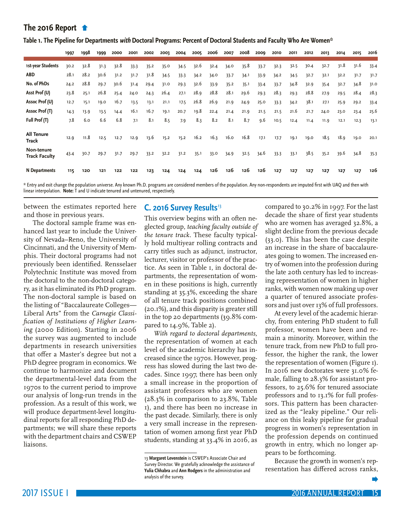<span id="page-14-0"></span> **[Table 1. The Pipeline for Departments](#page-13-0) with Doctoral Programs: Percent of Doctoral Students and Faculty Who Are Women\***

|                                    | 1997 | 1998 | 1999 | 2000 | 2001 | 2002 | 2003 | 2004 | 2005 | 2006 | 2007 | 2008 | 2009 | 2010 | 2011 | 2012 | 2013 | 2014 | 2015 | 2016 |
|------------------------------------|------|------|------|------|------|------|------|------|------|------|------|------|------|------|------|------|------|------|------|------|
| 1st-year Students                  | 30.2 | 32.8 | 31.3 | 32.8 | 33.3 | 35.2 | 35.0 | 34.5 | 32.6 | 32.4 | 34.0 | 35.8 | 33.7 | 32.3 | 32.5 | 30.4 | 32.7 | 31.8 | 31.6 | 33.4 |
| <b>ABD</b>                         | 28.1 | 28.2 | 30.6 | 31.2 | 31.7 | 31.8 | 34.5 | 33.3 | 34.2 | 34.0 | 33.7 | 34.1 | 33.9 | 34.2 | 34.5 | 32.7 | 32.1 | 32.2 | 31.7 | 31.7 |
| No. of PhDs                        | 24.2 | 28.8 | 29.7 | 30.6 | 31.4 | 29.4 | 31.0 | 29.3 | 32.6 | 33.9 | 35.2 | 35.1 | 33.4 | 33.7 | 34.8 | 32.9 | 35.4 | 32.7 | 34.8 | 31.0 |
| Asst Prof (U)                      | 23.8 | 25.1 | 26.8 | 25.4 | 24.0 | 24.3 | 26.4 | 27.1 | 28.9 | 28.8 | 28.1 | 29.6 | 29.3 | 28.3 | 29.3 | 28.8 | 27.9 | 29.5 | 28.4 | 28.3 |
| Assoc Prof (U)                     | 12.7 | 15.1 | 19.0 | 16.7 | 13.5 | 13.1 | 21.1 | 17.5 | 26.8 | 26.9 | 21.9 | 24.9 | 25.0 | 33.3 | 34.2 | 38.1 | 27.1 | 25.9 | 29.2 | 33.4 |
| Assoc Prof (T)                     | 14.3 | 13.9 | 13.5 | 14.4 | 16.1 | 16.7 | 19.1 | 20.7 | 19.8 | 22.4 | 21.4 | 21.9 | 21.5 | 21.5 | 21.6 | 21.7 | 24.0 | 23.0 | 23.4 | 25.6 |
| Full Prof (T)                      | 7.8  | 6.0  | 6.6  | 6.8  | 7.1  | 8.1  | 8.5  | 7.9  | 8.3  | 8.2  | 8.1  | 8.7  | 9.6  | 10.5 | 12.4 | 11.4 | 11.9 | 12.1 | 12.3 | 13.1 |
| <b>All Tenure</b><br>Track         | 12.9 | 11.8 | 12.5 | 12.7 | 12.9 | 13.6 | 15.2 | 15.2 | 16.2 | 16.3 | 16.0 | 16.8 | 17.1 | 17.7 | 19.1 | 19.0 | 18.5 | 18.9 | 19.0 | 20.1 |
| Non-tenure<br><b>Track Faculty</b> | 43.4 | 30.7 | 29.7 | 31.7 | 29.7 | 33.2 | 32.2 | 31.2 | 35.1 | 33.0 | 34.9 | 32.5 | 34.6 | 33.3 | 33.1 | 38.5 | 35.2 | 39.6 | 34.8 | 35.3 |
| N Departments                      | 115  | 120  | 121  | 122  | 122  | 123  | 124  | 124  | 124  | 126  | 126  | 126  | 126  | 127  | 127  | 127  | 127  | 127  | 127  | 126  |

\* Entry and exit change the population universe. Any known Ph.D. programs are considered members of the population. Any non-respondents are imputed first with UAQ and then with linear interpolation. **Note:** T and U indicate tenured and untenured, respectively.

between the estimates reported here and those in previous years.

The doctoral sample frame was enhanced last year to include the University of Nevada–Reno, the University of Cincinnati, and the University of Memphis. Their doctoral programs had not previously been identified. Rensselaer Polytechnic Institute was moved from the doctoral to the non-doctoral category, as it has eliminated its PhD program. The non-doctoral sample is based on the listing of "Baccalaureate Colleges— Liberal Arts" from the *Carnegie Classification of Institutions of Higher Learning* (2000 Edition). Starting in 2006 the survey was augmented to include departments in research universities that offer a Master's degree but not a PhD degree program in economics. We continue to harmonize and document the departmental-level data from the 1970s to the current period to improve our analysis of long-run trends in the profession. As a result of this work, we will produce department-level longitudinal reports for all responding PhD departments; we will share these reports with the department chairs and CSWEP liaisons.

#### **C. 2016 Survey Results**<sup>13</sup>

This overview begins with an often neglected group, *teaching faculty outside of the tenure track*. These faculty typically hold multiyear rolling contracts and carry titles such as adjunct, instructor, lecturer, visitor or professor of the practice. As seen in Table 1, in doctoral departments, the representation of women in these positions is high, currently standing at 35.3%, exceeding the share of all tenure track positions combined (20.1%), and this disparity is greater still in the top 20 departments (39.8% compared to 14.9%, Table 2).

*With regard to doctoral departments*, the representation of women at each level of the academic hierarchy has increased since the 1970s. However, progress has slowed during the last two decades. Since 1997, there has been only a small increase in the proportion of assistant professors who are women (28.3% in comparison to 23.8%, Table 1), and there has been no increase in the past decade. Similarly, there is only a very small increase in the representation of women among first year PhD students, standing at 33.4% in 2016, as

compared to 30.2% in 1997. For the last decade the share of first year students who are women has averaged 32.8%, a slight decline from the previous decade (33.0). This has been the case despite an increase in the share of baccalaureates going to women. The increased entry of women into the profession during the late 20th century has led to increasing representation of women in higher ranks, with women now making up over a quarter of tenured associate professors and just over 13% of full professors.

At every level of the academic hierarchy, from entering PhD student to full professor, women have been and remain a minority. Moreover, within the tenure track, from new PhD to full professor, the higher the rank, the lower the representation of women (Figure 1). In 2016 new doctorates were 31.0% female, falling to 28.3% for assistant professors, to 25.6% for tenured associate professors and to 13.1% for full professors. This pattern has been characterized as the "leaky pipeline." Our reliance on this leaky pipeline for gradual progress in women's representation in the profession depends on continued growth in entry, which no longer appears to be forthcoming.

Because the growth in women's representation has differed across ranks,

<sup>13</sup> **Margaret Levenstein** is CSWEP's Associate Chair and Survey Director. We gratefully acknowledge the assistance of **Yulia Chhabra** and **Ann Rodgers** in the administration and analysis of the survey.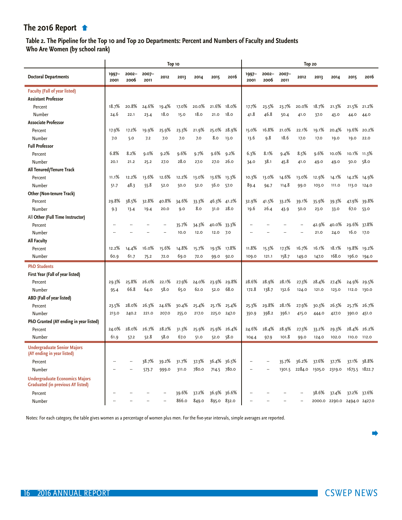#### <span id="page-15-0"></span>**[Table 2. The Pipeline for the Top 10 and Top](#page-14-0) 20 Departments: Percent and Numbers of Faculty and Students Who Are Women (by school rank)**

|                                                                                   | Top 10           |                  |                  |       |       | Top 20 |             |             |                  |               |                  |                      |       |                             |               |       |
|-----------------------------------------------------------------------------------|------------------|------------------|------------------|-------|-------|--------|-------------|-------------|------------------|---------------|------------------|----------------------|-------|-----------------------------|---------------|-------|
| <b>Doctoral Departments</b>                                                       | $1997 -$<br>2001 | $2002 -$<br>2006 | $2007 -$<br>2011 | 2012  | 2013  | 2014   | 2015        | 2016        | $1997 -$<br>2001 | 2002-<br>2006 | $2007 -$<br>2011 | 2012                 | 2013  | 2014                        | 2015          | 2016  |
| <b>Faculty (Fall of year listed)</b>                                              |                  |                  |                  |       |       |        |             |             |                  |               |                  |                      |       |                             |               |       |
| <b>Assistant Professor</b>                                                        |                  |                  |                  |       |       |        |             |             |                  |               |                  |                      |       |                             |               |       |
| Percent                                                                           | 18.7%            | 20.8%            | 24.6%            | 19.4% | 17.0% | 20.0%  | 21.6%       | 18.0%       | 17.7%            | 23.5%         | 23.7%            | 20.0%                | 18.7% | 21.3%                       | 21.5%         | 21.2% |
| Number                                                                            | 24.6             | 22.1             | 23.4             | 18.0  | 15.0  | 18.0   | 21.0        | 18.0        | 41.8             | 46.8          | 50.4             | 41.0                 | 37.0  | 43.0                        | 44.0          | 44.0  |
| <b>Associate Professor</b>                                                        |                  |                  |                  |       |       |        |             |             |                  |               |                  |                      |       |                             |               |       |
| Percent                                                                           | 17.9%            | 17.2%            | 19.9%            | 25.9% | 23.3% | 21.9%  | 25.0%       | 28.9%       | 15.0%            | 16.8%         | 21.0%            | 22.1%                | 19.1% | 20.4%                       | 19.6%         | 20.2% |
| Number                                                                            | 7.0              | 5.0              | 7.2              | 7.0   | 7.0   | 7.0    | 8.0         | 13.0        | 13.6             | 9.8           | 18.6             | 17.0                 | 17.0  | 19.0                        | 19.0          | 22.0  |
| <b>Full Professor</b>                                                             |                  |                  |                  |       |       |        |             |             |                  |               |                  |                      |       |                             |               |       |
| Percent                                                                           | 6.8%             | 8.2%             | 9.0%             | 9.2%  | 9.6%  | 9.7%   | 9.6%        | 9.2%        | 6.3%             | 8.1%          | 9.4%             | 8.5%                 | 9.6%  | 10.0%                       | 10.1%         | 11.3% |
| Number                                                                            | 20.1             | 21.2             | 25.2             | 27.0  | 28.0  | 27.0   | 27.0        | 26.0        | 34.0             | 38.1          | 45.8             | 41.0                 | 49.0  | 49.0                        | 50.0          | 58.0  |
| All Tenured/Tenure Track                                                          |                  |                  |                  |       |       |        |             |             |                  |               |                  |                      |       |                             |               |       |
| Percent                                                                           | 11.1%            | 12.2%            | 13.6%            | 12.6% | 12.2% | 13.0%  | 13.6%       | 13.3%       | 10.3%            | 13.0%         | 14.6%            | 13.0%                | 12.9% | 14.1%                       | 14.2%         | 14.9% |
| Number                                                                            | 51.7             | 48.3             | 55.8             | 52.0  | 50.0  | 52.0   | 56.0        | 57.0        | 89.4             | 94.7          | 114.8            | 99.0                 | 103.0 | 111.0                       | 113.0         | 124.0 |
| Other (Non-tenure Track)                                                          |                  |                  |                  |       |       |        |             |             |                  |               |                  |                      |       |                             |               |       |
| Percent                                                                           | 29.8%            | 38.5%            | 32.8%            | 40.8% | 34.6% | 33.3%  | 46.3%       | 41.2%       | 32.9%            | 41.5%         | 33.2%            | 39.1%                | 35.9% | 39.3%                       | 47.9%         | 39.8% |
| Number                                                                            | 9.3              | 13.4             | 19.4             | 20.0  | 9.0   | 8.0    | 31.0        | 28.0        | 19.6             | 26.4          | 43.9             | 50.0                 | 23.0  | 33.0                        | 67.0          | 53.0  |
| All Other (Full Time Instructor)                                                  |                  |                  |                  |       |       |        |             |             |                  |               |                  |                      |       |                             |               |       |
| Percent                                                                           |                  |                  |                  |       | 35.7% | 34.3%  | 40.0%       | 33.3%       |                  |               |                  | ٠.                   | 42.9% | 40.0%                       | 29.6%         | 37.8% |
| Number                                                                            |                  |                  |                  |       | 10.0  | 12.0   | 12.0        | 7.0         |                  |               |                  | ٠.                   | 21.0  | 24.0                        | 16.0          | 17.0  |
| <b>All Faculty</b>                                                                |                  |                  |                  |       |       |        |             |             |                  |               |                  |                      |       |                             |               |       |
| Percent                                                                           | 12.2%            | 14.4%            | 16.0%            | 15.6% | 14.8% | 15.7%  | 19.5%       | 17.8%       | 11.8%            | 15.3%         | 17.3%            | 16.7%                | 16.1% | 18.1%                       | 19.8%         | 19.2% |
| Number                                                                            | 60.9             | 61.7             | 75.2             | 72.0  | 69.0  | 72.0   | 99.0        | 92.0        | 109.0            | 121.1         | 158.7            | 149.0                | 147.0 | 168.0                       | 196.0         | 194.0 |
| <b>PhD Students</b>                                                               |                  |                  |                  |       |       |        |             |             |                  |               |                  |                      |       |                             |               |       |
| First Year (Fall of year listed)                                                  |                  |                  |                  |       |       |        |             |             |                  |               |                  |                      |       |                             |               |       |
| Percent                                                                           | 29.3%            | 25.8%            | 26.0%            | 22.1% | 27.9% | 24.0%  | 23.9%       | 29.8%       | 28.6%            | 28.9%         | 28.1%            | 27.3%                | 28.4% | 27.4%                       | 24.9%         | 29.5% |
| Number                                                                            | 95.4             | 66.8             | 64.0             | 58.0  | 65.0  | 62.0   | 52.0        | 68.0        | 172.8            | 138.7         | 132.6            | 124.0                | 121.0 | 123.0                       | 112.0         | 130.0 |
| ABD (Fall of year listed)                                                         |                  |                  |                  |       |       |        |             |             |                  |               |                  |                      |       |                             |               |       |
| Percent                                                                           | 23.5%            | 28.0%            | 26.3%            | 24.6% | 30.4% | 25.4%  | 25.1%       | 25.4%       | 25.3%            | 29.8%         | 28.1%            | 27.9%                | 30.3% | 26.5%                       | 25.7%         | 26.7% |
| Number                                                                            | 213.0            | 240.2            | 221.0            | 207.0 | 255.0 | 217.0  | 225.0       | 247.0       | 350.9            | 398.2         | 396.1            | 415.0                | 444.0 | 427.0                       | 390.0         | 451.0 |
| PhD Granted (AY ending in year listed)                                            |                  |                  |                  |       |       |        |             |             |                  |               |                  |                      |       |                             |               |       |
| Percent                                                                           | 24.0%            | 28.0%            | 26.7%            | 28.2% | 31.3% | 25.9%  | 25.9%       | 26.4%       | 24.6%            | 28.4%         | 28.9%            | 27.3%                | 33.2% | 29.3%                       | 28.4%         | 26.2% |
| Number                                                                            | 61.9             | 57.2             | 52.8             | 58.0  | 67.0  | 51.0   | 52.0        | 58.0        | 104.4            | 97.9          | 101.8            | 99.0                 | 124.0 | 102.0                       | 110.0 112.0   |       |
| <b>Undergraduate Senior Majors</b><br>(AY ending in year listed)                  |                  |                  |                  |       |       |        |             |             |                  |               |                  |                      |       |                             |               |       |
| Percent                                                                           | $\ddotsc$        | $\ddotsc$        | 38.7%            | 39.2% | 31.7% | 37.3%  | 36.4%       | 36.5%       |                  |               | 35.7%            | 36.2%                | 37.6% | 37.7%                       | 37.1% 38.8%   |       |
| Number                                                                            |                  |                  | 573.7            | 999.0 | 311.0 | 780.0  |             | 714.5 780.0 |                  |               |                  | 1301.5 2284.0 1505.0 |       | 2319.0                      | 1673.5 1822.7 |       |
| <b>Undergraduate Economics Majors</b><br><b>Graduated (in previous AY listed)</b> |                  |                  |                  |       |       |        |             |             |                  |               |                  |                      |       |                             |               |       |
| Percent                                                                           | --               |                  |                  |       | 39.6% | 37.2%  |             | 36.9% 36.6% |                  |               |                  |                      | 38.6% | 37.4%                       | 37.2% 37.6%   |       |
| Number                                                                            | 4                |                  |                  |       | 866.0 | 849.0  | 895.0 832.0 |             |                  |               |                  |                      |       | 2000.0 2290.0 2494.0 2427.0 |               |       |

Notes: For each category, the table gives women as a percentage of women plus men. For the five-year intervals, simple averages are reported.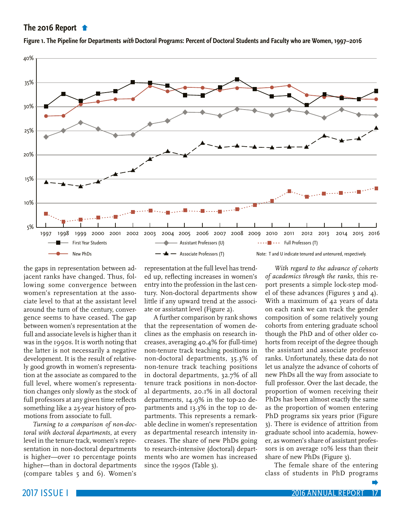

<span id="page-16-0"></span>**[Figure 1. The Pipeline for Departments](#page-15-0) with Doctoral Programs: Percent of Doctoral Students and Faculty who are Women, 1997–2016**

the gaps in representation between adjacent ranks have changed. Thus, following some convergence between women's representation at the associate level to that at the assistant level around the turn of the century, convergence seems to have ceased. The gap between women's representation at the full and associate levels is higher than it was in the 1990s. It is worth noting that the latter is not necessarily a negative development. It is the result of relatively good growth in women's representation at the associate as compared to the full level, where women's representation changes only slowly as the stock of full professors at any given time reflects something like a 25-year history of promotions from associate to full.

*Turning to a comparison of non-doctoral with doctoral departments*, at every level in the tenure track, women's representation in non-doctoral departments is higher—over 10 percentage points higher—than in doctoral departments (compare tables 5 and 6). Women's

representation at the full level has trended up, reflecting increases in women's entry into the profession in the last century. Non-doctoral departments show little if any upward trend at the associate or assistant level (Figure 2).

A further comparison by rank shows that the representation of women declines as the emphasis on research increases, averaging 40.4% for (full-time) non-tenure track teaching positions in non-doctoral departments, 35.3% of non-tenure track teaching positions in doctoral departments, 32.7% of all tenure track positions in non-doctoral departments, 20.1% in all doctoral departments, 14.9% in the top-20 departments and 13.3% in the top 10 departments. This represents a remarkable decline in women's representation as departmental research intensity increases. The share of new PhDs going to research-intensive (doctoral) departments who are women has increased since the 1990s (Table 3).

*With regard to the advance of cohorts of academics through the ranks*, this report presents a simple lock-step model of these advances (Figures 3 and 4). With a maximum of 42 years of data on each rank we can track the gender composition of some relatively young cohorts from entering graduate school though the PhD and of other older cohorts from receipt of the degree though the assistant and associate professor ranks. Unfortunately, these data do not let us analyze the advance of cohorts of new PhDs all the way from associate to full professor. Over the last decade, the proportion of women receiving their PhDs has been almost exactly the same as the proportion of women entering PhD programs six years prior (Figure 3). There is evidence of attrition from graduate school into academia, however, as women's share of assistant professors is on average 10% less than their share of new PhDs (Figure 3).

The female share of the entering class of students in PhD programs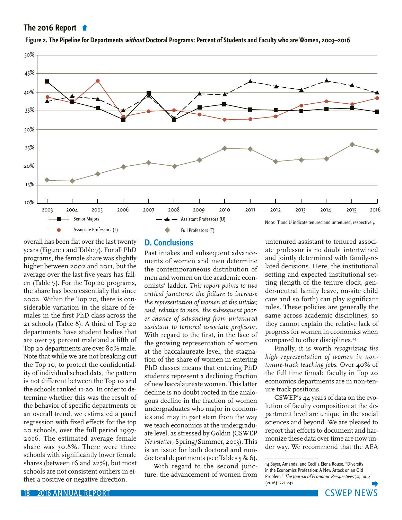

<span id="page-17-0"></span>**[Figure 2. The Pipeline for Departments](#page-16-0) without Doctoral Programs: Percent of Students and Faculty who are Women, 2003–2016**

overall has been flat over the last twenty years (Figure 1 and Table 7). For all PhD programs, the female share was slightly higher between 2002 and 2011, but the average over the last five years has fallen (Table 7). For the Top 20 programs, the share has been essentially flat since 2002. Within the Top 20, there is considerable variation in the share of females in the first PhD class across the 21 schools (Table 8). A third of Top 20 departments have student bodies that are over 75 percent male and a fifth of Top 20 departments are over 80% male. Note that while we are not breaking out the Top 10, to protect the confidentiality of individual school data, the pattern is not different between the Top 10 and the schools ranked 11-20. In order to determine whether this was the result of the behavior of specific departments or an overall trend, we estimated a panel regression with fixed effects for the top 20 schools, over the full period 1997- 2016. The estimated average female share was 30.8%. There were three schools with significantly lower female shares (between 16 and 22%), but most schools are not consistent outliers in either a positive or negative direction.

#### **D. Conclusions**

Past intakes and subsequent advancements of women and men determine the contemporaneous distribution of men and women on the academic economists' ladder. *This report points to two critical junctures: the failure to increase the representation of women at the intake; and, relative to men, the subsequent poorer chance of advancing from untenured assistant to tenured associate professor*. With regard to the first, in the face of the growing representation of women at the baccalaureate level, the stagnation of the share of women in entering PhD classes means that entering PhD students represent a declining fraction of new baccalaureate women. This latter decline is no doubt rooted in the analogous decline in the fraction of women undergraduates who major in economics and may in part stem from the way we teach economics at the undergraduate level, as stressed by Goldin (CSWEP *Newsletter*, Spring/Summer, 2013). This is an issue for both doctoral and nondoctoral departments (see Tables 5 & 6).

With regard to the second juncture, the advancement of women from untenured assistant to tenured associate professor is no doubt intertwined and jointly determined with family-related decisions. Here, the institutional setting and expected institutional setting (length of the tenure clock, gender-neutral family leave, on-site child care and so forth) can play significant roles. These policies are generally the same across academic disciplines, so they cannot explain the relative lack of progress for women in economics when compared to other disciplines.14

Finally, it is worth *recognizing the high representation of women in nontenure-track teaching jobs*. Over 40% of the full time female faculty in Top 20 economics departments are in non-tenure track positions.

CSWEP's 44 years of data on the evolution of faculty composition at the department level are unique in the social sciences and beyond. We are pleased to report that efforts to document and harmonize these data over time are now under way. We recommend that the AEA

<sup>14</sup> Bayer, Amanda, and Cecilia Elena Rouse. "Diversity in the Economics Profession: A New Attack on an Old Problem." The Journal of Economic Perspectives 30, no. 4 (2016): 221-242.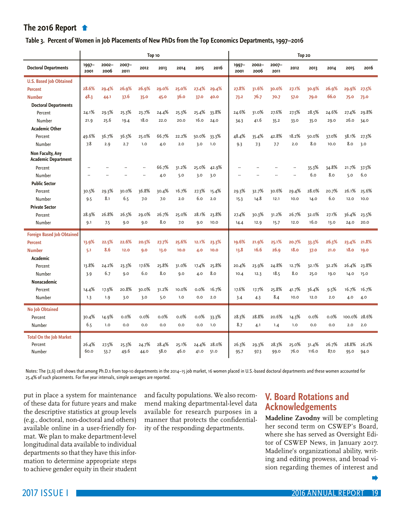#### <span id="page-18-0"></span>**[Table 3. Percent of Women in Job Placement](#page-17-0)s of New PhDs from the Top Economics Departments, 1997–2016**

|                                                | Top 10        |               |                  |       |       |       | Top 20 |       |               |               |                  |       |         |       |        |       |
|------------------------------------------------|---------------|---------------|------------------|-------|-------|-------|--------|-------|---------------|---------------|------------------|-------|---------|-------|--------|-------|
| <b>Doctoral Departments</b>                    | 1997-<br>2001 | 2002-<br>2006 | $2007 -$<br>2011 | 2012  | 2013  | 2014  | 2015   | 2016  | 1997-<br>2001 | 2002-<br>2006 | $2007 -$<br>2011 | 2012  | 2013    | 2014  | 2015   | 2016  |
| <b>U.S. Based Job Obtained</b>                 |               |               |                  |       |       |       |        |       |               |               |                  |       |         |       |        |       |
| <b>Percent</b>                                 | 28.6%         | 29.4%         | 26.9%            | 26.9% | 29.0% | 25.0% | 27.4%  | 29.4% | 27.8%         | 31.6%         | 30.0%            | 27.1% | 30.9%   | 26.9% | 29.9%  | 27.5% |
| <b>Number</b>                                  | 48.3          | 44.1          | 37.6             | 35.0  | 45.0  | 36.0  | 37.0   | 40.0  | 73.2          | 76.7          | 70.7             | 57.0  | 79.0    | 66.o  | 75.0   | 73.0  |
| <b>Doctoral Departments</b>                    |               |               |                  |       |       |       |        |       |               |               |                  |       |         |       |        |       |
| Percent                                        | 24.1%         | 29.5%         | 25.3%            | 23.7% | 24.4% | 25.3% | 25.4%  | 33.8% | 24.6%         | 31.0%         | 27.6%            | 27.5% | 28.5%   | 24.6% | 27.4%  | 29.8% |
| Number                                         | 21.9          | 25.6          | 19.4             | 18.0  | 22.0  | 20.0  | 16.0   | 24.0  | 34.3          | 41.6          | 35.2             | 33.0  | 35.0    | 29.0  | 26.0   | 34.0  |
| <b>Academic Other</b>                          |               |               |                  |       |       |       |        |       |               |               |                  |       |         |       |        |       |
| Percent                                        | 49.6%         | 36.7%         | 36.5%            | 25.0% | 66.7% | 22.2% | 50.0%  | 33.3% | 48.4%         | 35.4%         | 42.8%            | 18.2% | 50.0%   | 37.0% | 38.1%  | 27.3% |
| Number                                         | 7.8           | 2.9           | 2.7              | 1.0   | 4.0   | 2.0   | 3.0    | 1.0   | 9.3           | 7.3           | 7.7              | 2.0   | 8.0     | 10.0  | 8.0    | 3.0   |
| Non Faculty, Any<br><b>Academic Department</b> |               |               |                  |       |       |       |        |       |               |               |                  |       |         |       |        |       |
| Percent                                        | $\sim$        |               |                  |       | 66.7% | 31.2% | 25.0%  | 42.9% |               |               |                  |       | 35.3%   | 34.8% | 21.7%  | 37.5% |
| Number                                         | $\sim$        |               |                  |       | 4.0   | 5.0   | 3.0    | 3.0   |               |               |                  | Ξ.    | 6.0     | 8.0   | 5.0    | 6.0   |
| <b>Public Sector</b>                           |               |               |                  |       |       |       |        |       |               |               |                  |       |         |       |        |       |
| Percent                                        | 30.5%         | 29.3%         | 30.0%            | 36.8% | 30.4% | 16.7% | 27.3%  | 15.4% | 29.3%         | 32.7%         | 30.6%            | 29.4% | 28.0%   | 20.7% | 26.1%  | 25.6% |
| Number                                         | 9.5           | 8.1           | 6.5              | 7.0   | 7.0   | 2.0   | 6.0    | 2.0   | 15.3          | 14.8          | 12.1             | 10.0  | 14.0    | 6.0   | 12.0   | 10.0  |
| <b>Private Sector</b>                          |               |               |                  |       |       |       |        |       |               |               |                  |       |         |       |        |       |
| Percent                                        | 28.9%         | 26.8%         | 26.5%            | 29.0% | 26.7% | 25.0% | 28.1%  | 23.8% | 27.4%         | 30.3%         | 31.2%            | 26.7% | 32.0%   | 27.1% | 36.4%  | 23.5% |
| Number                                         | 9.1           | 7.5           | 9.0              | 9.0   | 8.0   | 7.0   | 9.0    | 10.0  | 14.4          | 12.9          | 15.7             | 12.0  | 16.0    | 13.0  | 24.0   | 20.0  |
| <b>Foreign Based Job Obtained</b>              |               |               |                  |       |       |       |        |       |               |               |                  |       |         |       |        |       |
| <b>Percent</b>                                 | 13.9%         | 22.5%         | 22.6%            | 20.5% | 27.7% | 25.6% | 12.1%  | 23.3% | 19.6%         | 21.9%         | 25.1%            | 20.7% | 33.3%   | 26.3% | 23.4%  | 21.8% |
| Number                                         | 5.1           | 8.6           | 12.0             | 9.0   | 13.0  | 10.0  | 4.0    | 10.0  | 13.8          | 16.6          | 26.9             | 18.0  | 37.0    | 21.0  | 18.0   | 19.0  |
| Academic                                       |               |               |                  |       |       |       |        |       |               |               |                  |       |         |       |        |       |
| Percent                                        | 13.8%         | 24.2%         | 23.3%            | 17.6% | 25.8% | 31.0% | 17.4%  | 25.8% | 20.4%         | 23.9%         | 24.8%            | 12.7% | 32.1%   | 32.2% | 26.4%  | 23.8% |
| Number                                         | 3.9           | 6.7           | 9.0              | 6.0   | 8.0   | 9.0   | 4.0    | 8.0   | 10.4          | 12.3          | 18.5             | 8.0   | 25.0    | 19.0  | 14.0   | 15.0  |
| Nonacademic                                    |               |               |                  |       |       |       |        |       |               |               |                  |       |         |       |        |       |
| Percent                                        | 14.4%         | 17.9%         | 20.8%            | 30.0% | 31.2% | 10.0% | 0.0%   | 16.7% | 17.6%         | 17.7%         | 25.8%            | 41.7% | 36.4%   | 9.5%  | 16.7%  | 16.7% |
| Number                                         | 1.3           | 1.9           | 3.0              | 3.0   | 5.0   | 1.0   | 0.0    | 2.0   | 3.4           | 4.3           | 8.4              | 10.0  | 12.0    | 2.0   | 4.0    | 4.0   |
| <b>No Job Obtained</b>                         |               |               |                  |       |       |       |        |       |               |               |                  |       |         |       |        |       |
| Percent                                        | 30.4%         | 14.9%         | 0.0%             | 0.0%  | 0.0%  | 0.0%  | 0.0%   | 33.3% | 28.3%         | 28.8%         | 20.6%            | 14.3% | $0.0\%$ | 0.0%  | 100.0% | 28.6% |
| Number                                         | 6.5           | 1.0           | 0.0              | 0.0   | 0.0   | 0.0   | 0.0    | 1.0   | 8.7           | 4.1           | 1.4              | 1.0   | 0.0     | 0.0   | 2.0    | 2.0   |
| <b>Total On the Job Market</b>                 |               |               |                  |       |       |       |        |       |               |               |                  |       |         |       |        |       |
| Percent                                        | 26.4%         | 27.5%         | 25.3%            | 24.7% | 28.4% | 25.1% | 24.4%  | 28.0% | 26.3%         | 29.3%         | 28.3%            | 25.0% | 31.4%   | 26.7% | 28.8%  | 26.2% |
| Number                                         | 60.0          | 53.7          | 49.6             | 44.0  | 58.0  | 46.0  | 41.0   | 51.0  | 95.7          | 97.3          | 99.0             | 76.0  | 116.0   | 87.0  | 95.0   | 94.0  |

Notes: The (2,6) cell shows that among Ph.D.s from top-10 departments in the 2014–15 job market, 16 women placed in U.S.-based doctoral departments and these women accounted for 25.4% of such placements. For five year intervals, simple averages are reported.

put in place a system for maintenance of these data for future years and make the descriptive statistics at group levels (e.g., doctoral, non-doctoral and others) available online in a user-friendly format. We plan to make department-level longitudinal data available to individual departments so that they have this information to determine appropriate steps to achieve gender equity in their student

and faculty populations. We also recommend making departmental-level data available for research purposes in a manner that protects the confidentiality of the responding departments.

#### **V. Board Rotations and Acknowledgements**

**Madeline Zavodny** will be completing her second term on CSWEP's Board, where she has served as Oversight Editor of CSWEP News, in January 2017. Madeline's organizational ability, writing and editing prowess, and broad vision regarding themes of interest and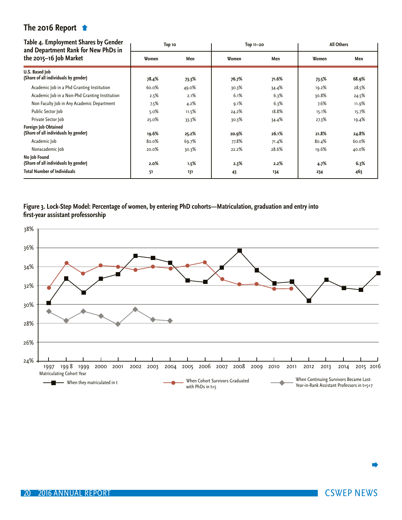<span id="page-19-0"></span>

| Table 4. Employment Shares by Gender<br>and Department Rank for New PhDs in                | Top 10     |             | Top 11-20  |             | All Others  |             |  |
|--------------------------------------------------------------------------------------------|------------|-------------|------------|-------------|-------------|-------------|--|
| the 2015-16 Job Market                                                                     | Women      | Men         | Women      | Men         | Women       | Men         |  |
| U.S. Based Job<br>(Share of all individuals by gender)                                     | 78.4%      | 73.3%       | 76.7%      | 71.6%       | 73.5%       | 68.9%       |  |
| Academic Job in a Phd Granting Institution                                                 | 60.0%      | 49.0%       | 30.3%      | 34.4%       | 19.2%       | 28.5%       |  |
| Academic Job in a Non-Phd Granting Institution                                             | 2.5%       | 2.1%        | 6.1%       | 6.3%        | 30.8%       | 24.5%       |  |
| Non Faculty Job in Any Academic Department                                                 | 7.5%       | 4.2%        | 9.1%       | 6.3%        | 7.6%        | 11.9%       |  |
| Public Sector Job                                                                          | 5.0%       | 11.5%       | 24.2%      | 18.8%       | 15.1%       | 15.7%       |  |
| Private Sector Job                                                                         | 25.0%      | 33.3%       | 30.3%      | 34.4%       | 27.3%       | 19.4%       |  |
| Foreign Job Obtained<br>(Share of all individuals by gender)                               | 19.6%      | 25.2%       | 20.9%      | 26.1%       | 21.8%       | 24.8%       |  |
| Academic Job                                                                               | 80.0%      | 69.7%       | 77.8%      | 71.4%       | 80.4%       | 60.0%       |  |
| Nonacademic Job                                                                            | 20.0%      | 30.3%       | 22.2%      | 28.6%       | 19.6%       | 40.0%       |  |
| No Job Found<br>(Share of all individuals by gender)<br><b>Total Number of Individuals</b> | 2.0%<br>51 | 1.5%<br>131 | 2.3%<br>43 | 2.2%<br>134 | 4.7%<br>234 | 6.3%<br>463 |  |

#### **Figure 3. Lock-Step Model: Percentage of women, by entering PhD cohorts—Matriculation, graduation and entry into first-year assistant professorship**

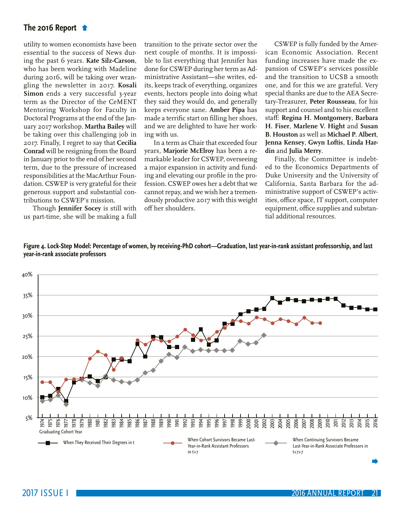<span id="page-20-0"></span>utility to women economists have been essential to the success of News during the past 6 years. **Kate Silz-Carson**, who has been working with Madeline during 2016, will be taking over wrangling the newsletter in 2017. **Kosali**  Simon ends a very successful 3-year term as the Director of the CeMENT Mentoring Workshop for Faculty in Doctoral Programs at the end of the January 2017 workshop. **Martha Bailey** will be taking over this challenging job in 2017. Finally, I regret to say that **Cecilia Conrad** will be resigning from the Board in January prior to the end of her second term, due to the pressure of increased responsibilities at the MacArthur Foundation. CSWEP is very grateful for their generous support and substantial contributions to CSWEP's mission.

Though **Jennifer Socey** is still with us part-time, she will be making a full transition to the private sector over the next couple of months. It is impossible to list everything that Jennifer has done for CSWEP during her term as Administrative Assistant—she writes, edits, keeps track of everything, organizes events, hectors people into doing what they said they would do, and generally keeps everyone sane. **Amber Pipa** has made a terrific start on filling her shoes, and we are delighted to have her working with us.

In a term as Chair that exceeded four years, **Marjorie McElroy** has been a remarkable leader for CSWEP, overseeing a major expansion in activity and funding and elevating our profile in the profession. CSWEP owes her a debt that we cannot repay, and we wish her a tremendously productive 2017 with this weight off her shoulders.

CSWEP is fully funded by the American Economic Association. Recent funding increases have made the expansion of CSWEP's services possible and the transition to UCSB a smooth one, and for this we are grateful. Very special thanks are due to the AEA Secretary-Treasurer, **Peter Rousseau**, for his support and counsel and to his excellent staff: **Regina H. Montgomery**, **Barbara H. Fiser**, **Marlene V. Hight** and **Susan B. Houston** as well as **Michael P. Albert**, **Jenna Kensey**, **Gwyn Loftis**, **Linda Hardin** and **Julia Merry**.

Finally, the Committee is indebted to the Economics Departments of Duke University and the University of California, Santa Barbara for the administrative support of CSWEP's activities, office space, IT support, computer equipment, office supplies and substantial additional resources.



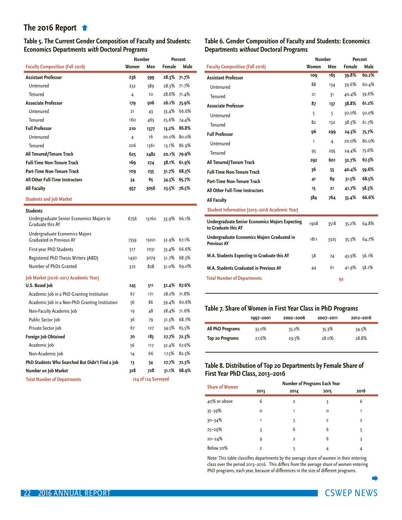<span id="page-21-0"></span>**[Table 5. The Current Gender Composition of F](#page-20-0)aculty and Students: Economics Departments with Doctoral Programs**

|                                                              | <b>Number</b> |                     |        | Percent |  |
|--------------------------------------------------------------|---------------|---------------------|--------|---------|--|
| <b>Faculty Composition (Fall 2016)</b>                       | Women         | Men                 | Female | Male    |  |
| <b>Assistant Professor</b>                                   | 236           | 599                 | 28.3%  | 71.7%   |  |
| Untenured                                                    | 232           | 589                 | 28.3%  | 71.7%   |  |
| Tenured                                                      | 4             | 10                  | 28.6%  | 71.4%   |  |
| <b>Associate Professor</b>                                   | 179           | 506                 | 26.1%  | 73.9%   |  |
| Untenured                                                    | 21            | 43                  | 33.4%  | 66.6%   |  |
| Tenured                                                      | 160           | 465                 | 25.6%  | 74.4%   |  |
| <b>Full Professor</b>                                        | 210           | 1377                | 13.2%  | 86.8%   |  |
| Untenured                                                    | 4             | 16                  | 20.0%  | 80.0%   |  |
| Tenured                                                      | 206           | 1361                | 13.1%  | 86.9%   |  |
| All Tenured/Tenure Track                                     | 625           | 2482                | 20.1%  | 79.9%   |  |
| <b>Full-Time Non-Tenure Track</b>                            | 169           | 274                 | 38.1%  | 61.9%   |  |
| <b>Part-Time Non-Tenure Track</b>                            | 109           | 235                 | 31.7%  | 68.3%   |  |
| All Other Full-Time Instructors                              | 34            | 65                  | 34.3%  | 65.7%   |  |
| <b>All Faculty</b>                                           | 937           | 3056                | 23.5%  | 76.5%   |  |
| <b>Students and Job Market</b>                               |               |                     |        |         |  |
| <b>Students</b>                                              |               |                     |        |         |  |
| Undergraduate Senior Economics Majors to<br>Graduate this AY | 6756          | 13160               | 33.9%  | 66.1%   |  |
| Undergraduate Economics Majors<br>Graduated in Previous AY   | 7359          | 15021               | 32.9%  | 67.1%   |  |
| First-year PhD Students                                      | 517           | 1031                | 33.4%  | 66.6%   |  |
| Registered PhD Thesis Writers (ABD)                          | 1430          | 3079                | 31.7%  | 68.3%   |  |
| Number of PhDs Granted                                       | 372           | 828                 | 31.0%  | 69.0%   |  |
| Job Market (2016–2017 Academic Year)                         |               |                     |        |         |  |
| U.S. Based Job                                               | 245           | 511                 | 32.4%  | 67.6%   |  |
| Academic Job in a PhD Granting Institution                   | 67            | 171                 | 28.2%  | 71.8%   |  |
| Academic Job in a Non-PhD Granting Institution               | 56            | 86                  | 39.4%  | 60.6%   |  |
| Non-Faculty Academic Job                                     | 19            | 48                  | 28.4%  | 71.6%   |  |
| Public Sector Job                                            | 36            | 79                  | 31.3%  | 68.7%   |  |
| Private Sector Job                                           | 67            | 127                 | 34.5%  | 65.5%   |  |
| Foreign Job Obtained                                         | 70            | 183                 | 27.7%  | 72.3%   |  |
| Academic Job                                                 | 56            | 117                 | 32.4%  | 67.6%   |  |
| Non-Academic Job                                             | 14            | 66                  | 17.5%  | 82.5%   |  |
| PhD Students Who Searched But Didn't Find a Job              | 13            | 34                  | 27.7%  | 72.3%   |  |
| Number on Job Market                                         | 328           | 728                 | 31.1%  | 68.9%   |  |
| <b>Total Number of Departments</b>                           |               | 124 of 124 Surveyed |        |         |  |

#### **Table 6. Gender Composition of Faculty and Students: Economics Departments without Doctoral Programs**

|                                                                               | <b>Number</b> |                | <b>Percent</b> |       |  |
|-------------------------------------------------------------------------------|---------------|----------------|----------------|-------|--|
| <b>Faculty Composition (Fall 2016)</b>                                        | Women         | Men            | Female         | Male  |  |
| <b>Assistant Professor</b>                                                    | 109           | 165            | 39.8%          | 60.2% |  |
| Untenured                                                                     | 88            | 134            | 39.6%          | 60.4% |  |
| Tenured                                                                       | 21            | 31             | 40.4%          | 59.6% |  |
| <b>Associate Professor</b>                                                    | 87            | 137            | 38.8%          | 61.2% |  |
| Untenured                                                                     | 5             | 5              | 50.0%          | 50.0% |  |
| Tenured                                                                       | 82            | 132            | 38.3%          | 61.7% |  |
| <b>Full Professor</b>                                                         | 96            | 299            | 24.3%          | 75.7% |  |
| Untenured                                                                     | I.            | $\overline{4}$ | 20.0%          | 80.0% |  |
| Tenured                                                                       | 95            | 295            | 24.4%          | 75.6% |  |
| All Tenured/Tenure Track                                                      | 292           | 601            | 32.7%          | 67.3% |  |
| <b>Full-Time Non-Tenure Track</b>                                             | 36            | 53             | 40.4%          | 59.6% |  |
| <b>Part-Time Non-Tenure Track</b>                                             | 41            | 89             | 31.5%          | 68.5% |  |
| All Other Full-Time Instructors                                               | 15            | 21             | 41.7%          | 58.3% |  |
| <b>All Faculty</b>                                                            | 384           | 764            | 33.4%          | 66.6% |  |
| Student Information (2015-2016 Academic Year)                                 |               |                |                |       |  |
| <b>Undergraduate Senior Economics Majors Expecting</b><br>to Graduate this AY | 1908          | 3518           | 35.2%          | 64.8% |  |
| Undergraduate Economics Majors Graduated in<br><b>Previous AY</b>             | 1811          | 3325           | 35.3%          | 64.7% |  |
| M.A. Students Expecting to Graduate this AY                                   | 58            | 74             | 43.9%          | 56.1% |  |
| M.A. Students Graduated in Previous AY                                        | 44            | 61             | 41.9%          | 58.1% |  |
| <b>Total Number of Departments</b>                                            |               |                | 92             |       |  |

#### **Table 7. Share of Women in First Year Class in PhD Programs**

|                        | 1997-2001 | 2002-2006 | 2007-2011 | 2012-2016 |
|------------------------|-----------|-----------|-----------|-----------|
| All PhD Programs       | 33.0%     | 35.2%     | 35.3%     | 34.5%     |
| <b>Top 20 Programs</b> | 27.6%     | 29.5%     | 28.0%     | 28.8%     |

#### **Table 8. Distribution of Top 20 Departments by Female Share of First Year PhD Class, 2013–2016**

ċ

| <b>Share of Women</b> | Number of Programs Each Year |                |                |                |  |  |  |  |  |  |
|-----------------------|------------------------------|----------------|----------------|----------------|--|--|--|--|--|--|
|                       | 2013                         | 2014           | 2015           | 2016           |  |  |  |  |  |  |
| 40% or above          | 6                            | $\overline{2}$ | 3              | 6              |  |  |  |  |  |  |
| 35-39%                | O                            |                | $\circ$        |                |  |  |  |  |  |  |
| 30-34%                | ı                            | 5              | $\overline{2}$ | $\overline{2}$ |  |  |  |  |  |  |
| 25-29%                | 3                            | 6              | 6              | 5              |  |  |  |  |  |  |
| $20 - 24%$            | 9                            | $\overline{2}$ | 6              | 3              |  |  |  |  |  |  |
| Below 20%             | $\overline{2}$               |                | 4              | 4              |  |  |  |  |  |  |

Note: This table classifies departments by the average share of women in their entering class over the period 2013–2016. This differs from the average share of women entering PhD programs, each year, because of differences in the size of different programs.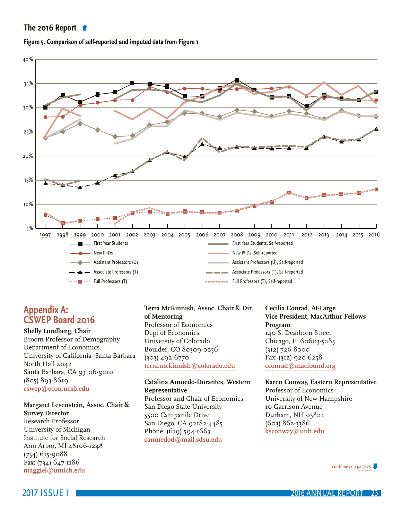<span id="page-22-0"></span>**Figure 5. Comparison of self-reported and imputed data from Figure 1**



#### **Appendix A: CSWEP Board 2016**

**Shelly Lundberg, Chair** Broom Professor of Demography Department of Economics University of California–Santa Barbara North Hall 2042 Santa Barbara, CA 93106-9210 (805) 893-8619 **[cswep@econ.ucsb.edu](mailto:cswep%40econ.ucsb.edu?subject=)**

#### **Margaret Levenstein, Assoc. Chair & Survey Director**

Research Professor University of Michigan Institute for Social Research Ann Arbor, MI 48106-1248 (734) 615-9088 Fax: (734) 647-1186 **[maggiel@umich.edu](mailto:maggiel%40umich.edu?subject=)**

#### **Terra McKinnish, Assoc. Chair & Dir. of Mentoring**

Professor of Economics Dept of Economics University of Colorado Boulder, CO 80309-0256 (303) 492-6770 **[terra.mckinnish@colorado.edu](mailto:terra.mckinnish%40colorado.edu?subject=)**

#### **Catalina Amuedo-Dorantes, Western Representative** Professor and Chair of Economics

San Diego State University 5500 Campanile Drive San Diego, CA 92182-4485 Phone: (619) 594-1663 **[camuedod@mail.sdsu.edu](mailto:camuedod%40mail.sdsu.edu?subject=)**

**Cecilia Conrad, At-Large Vice President, MacArthur Fellows Program** 140 S. Dearborn Street Chicago, IL 60603-5285 (312) 726-8000 Fax: (312) 920-6258 **[cconrad@macfound.org](mailto:cconrad%40macfound.org?subject=)**

#### **Karen Conway, Eastern Representative** Professor of Economics University of New Hampshire 10 Garrison Avenue Durham, NH 03824

(603) 862-3386 **[ksconway@unh.edu](mailto:ksconway%40unh.edu?subject=)**

[continues on page 25](#page-1-0)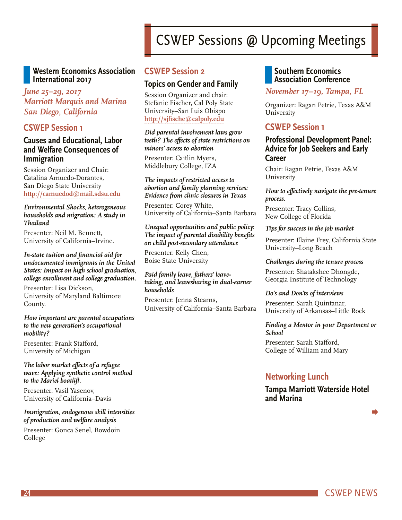# CSWEP Sessions @ Upcoming Meetings

#### <span id="page-23-0"></span>**Western Economics Association International 2017**

*June 25–29, 2017 Marriott Marquis and Marina San Diego, California*

#### **CSWEP Session 1**

#### **Causes and Educational, Labor and Welfare Consequences of Immigration**

Session Organizer and Chair: Catalina Amuedo-Dorantes, San Diego State University **<http://camuedod@mail.sdsu.edu>**

#### *Environmental Shocks, heterogeneous households and migration: A study in Thailand*

Presenter: Neil M. Bennett, University of California–Irvine.

#### *In-state tuition and financial aid for undocumented immigrants in the United States: Impact on high school graduation, college enrollment and college graduation.*

Presenter: Lisa Dickson, University of Maryland Baltimore County.

#### *How important are parental occupations to the new generation's occupational mobility?*

Presenter: Frank Stafford, University of Michigan

#### *The labor market effects of a refugee wave: Applying synthetic control method to the Mariel boatlift.*

Presenter: Vasil Yasenov, University of California–Davis

#### *Immigration, endogenous skill intensities of production and welfare analysis*

Presenter: Gonca Senel, Bowdoin College

#### **CSWEP Session 2**

#### **Topics on Gender and Family**

Session Organizer and chair: Stefanie Fischer, Cal Poly State University–San Luis Obispo **<http://sjfische@calpoly.edu>**

*Did parental involvement laws grow teeth? The effects of state restrictions on minors' access to abortion*

Presenter: Caitlin Myers, Middlebury College, IZA

#### *The impacts of restricted access to abortion and family planning services: Evidence from clinic closures in Texas*

Presenter: Corey White, University of California–Santa Barbara

#### *Unequal opportunities and public policy: The impact of parental disability benefits on child post-secondary attendance*

Presenter: Kelly Chen, Boise State University

#### *Paid family leave, fathers' leavetaking, and leavesharing in dual-earner households*

Presenter: Jenna Stearns, University of California–Santa Barbara

#### **Southern Economics Association Conference**

*November 17–19, Tampa, FL*

Organizer: Ragan Petrie, Texas A&M University

#### **CSWEP Session 1**

#### **Professional Development Panel: Advice for Job Seekers and Early Career**

Chair: Ragan Petrie, Texas A&M University

#### *How to effectively navigate the pre-tenure process.*

Presenter: Tracy Collins, New College of Florida

#### *Tips for success in the job market*

Presenter: Elaine Frey, California State University–Long Beach

#### *Challenges during the tenure process*

Presenter: Shatakshee Dhongde, Georgia Institute of Technology

#### *Do's and Don'ts of interviews*

Presenter: Sarah Quintanar, University of Arkansas–Little Rock

#### *Finding a Mentor in your Department or School*

Presenter: Sarah Stafford, College of William and Mary

#### **Networking Lunch**

**Tampa Marriott Waterside Hotel and Marina**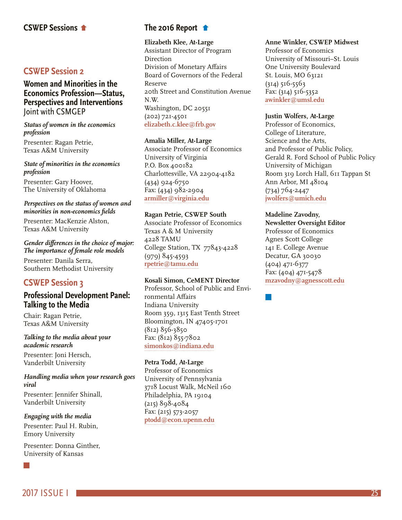#### **[CSWEP Sessions](#page-23-0) the 2016 Report the 2016 Report**

#### **CSWEP Session 2**

#### **Women and Minorities in the Economics Profession—Status, Perspectives and Interventions**  Joint with CSMGEP

*Status of women in the economics profession*

Presenter: Ragan Petrie, Texas A&M University

#### *State of minorities in the economics profession*

Presenter: Gary Hoover, The University of Oklahoma

#### *Perspectives on the status of women and minorities in non-economics fields*

Presenter: MacKenzie Alston, Texas A&M University

#### *Gender differences in the choice of major: The importance of female role models*

Presenter: Danila Serra, Southern Methodist University

## **CSWEP Session 3**

#### **Professional Development Panel: Talking to the Media**

Chair: Ragan Petrie, Texas A&M University

#### *Talking to the media about your academic research*

Presenter: Joni Hersch, Vanderbilt University

#### *Handling media when your research goes viral*

Presenter: Jennifer Shinall, Vanderbilt University

#### *Engaging with the media*

Presenter: Paul H. Rubin, Emory University

Presenter: Donna Ginther, University of Kansas

#### **Elizabeth Klee, At-Large** Assistant Director of Program Direction

Division of Monetary Affairs Board of Governors of the Federal Reserve 20th Street and Constitution Avenue N.W. Washington, DC 20551 (202) 721-4501 **[elizabeth.c.klee@frb.gov](mailto:elizabeth.c.klee%40frb.gov?subject=)**

#### **Amalia Miller, At-Large**

Associate Professor of Economics University of Virginia P.O. Box 400182 Charlottesville, VA 22904-4182 (434) 924-6750 Fax: (434) 982-2904 **[armiller@virginia.edu](mailto:armiller%40virginia.edu?subject=)**

#### **Ragan Petrie, CSWEP South**

Associate Professor of Economics Texas A & M University 4228 TAMU College Station, TX 77843-4228 (979) 845-4593 **[rpetrie@tamu.edu](mailto:rpetrie%40tamu.edu?subject=)**

#### **Kosali Simon, CeMENT Director**

Professor, School of Public and Environmental Affairs Indiana University Room 359, 1315 East Tenth Street Bloomington, IN 47405-1701 (812) 856-3850 Fax: (812) 855-7802 **[simonkos@indiana.edu](mailto:simonkos%40indiana.edu?subject=)**

#### **Petra Todd, At-Large**

Professor of Economics University of Pennsylvania 3718 Locust Walk, McNeil 160 Philadelphia, PA 19104 (215) 898-4084 Fax: (215) 573-2057 **[ptodd@econ.upenn.edu](mailto:ptodd%40econ.upenn.edu?subject=)**

#### **Anne Winkler, CSWEP Midwest**

Professor of Economics University of Missouri–St. Louis One University Boulevard St. Louis, MO 63121 (314) 516-5563 Fax: (314) 516-5352 **[awinkler@umsl.edu](mailto:awinkler%40umsl.edu?subject=)**

#### **Justin Wolfers, At-Large**

Professor of Economics, College of Literature, Science and the Arts, and Professor of Public Policy, Gerald R. Ford School of Public Policy University of Michigan Room 319 Lorch Hall, 611 Tappan St Ann Arbor, MI 48104 (734) 764-2447 **[jwolfers@umich.edu](mailto:jwolfers%40umich.edu?subject=)**

#### **Madeline Zavodny,**

 $\mathcal{L}_{\mathcal{A}}$ 

**Newsletter Oversight Editor** Professor of Economics Agnes Scott College 141 E. College Avenue Decatur, GA 30030 (404) 471-6377 Fax: (404) 471-5478 **[mzavodny@agnesscott.edu](mailto:mzavodny%40agnesscott.edu?subject=)**

2017 ISS UE I 25